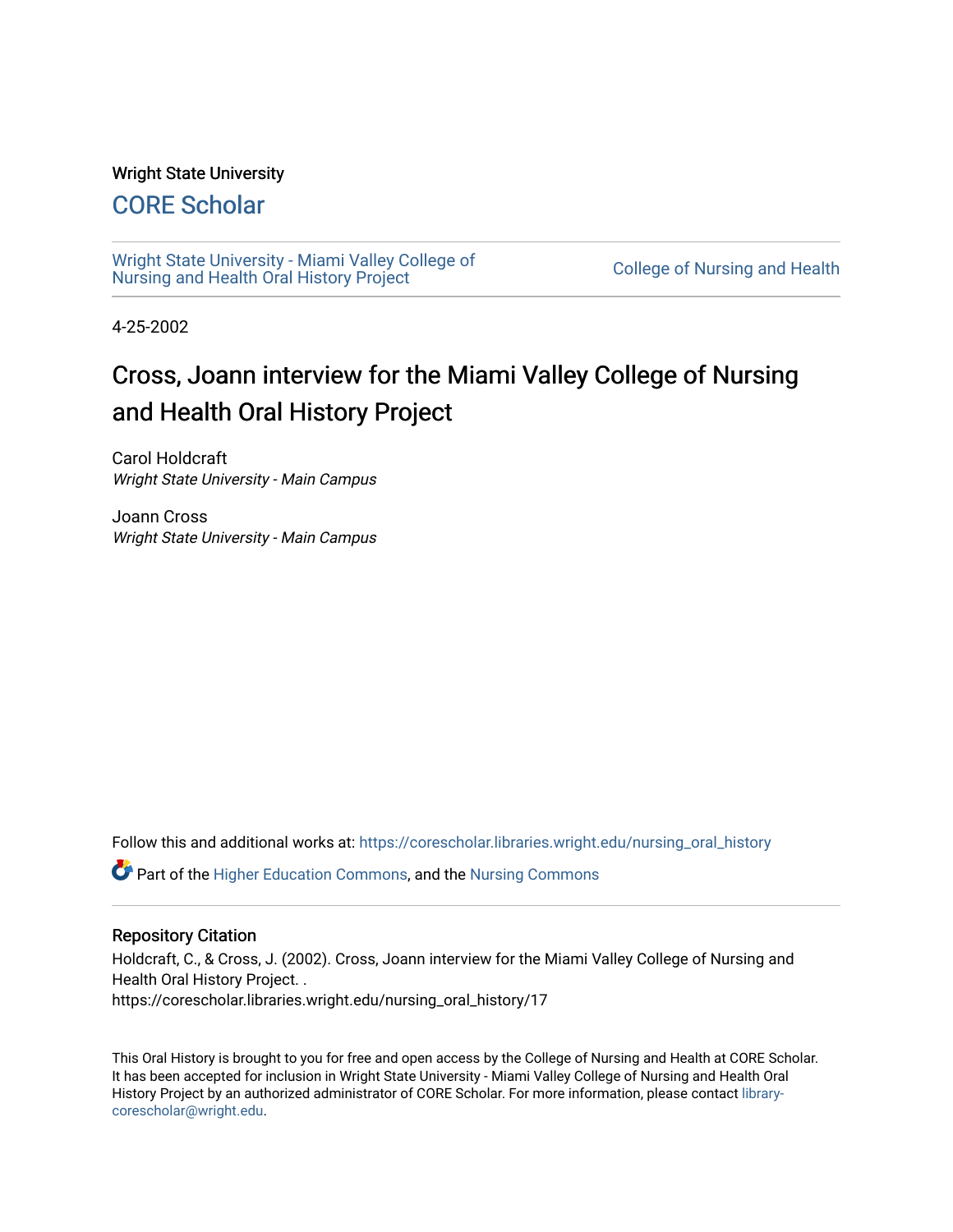# Wright State University

# [CORE Scholar](https://corescholar.libraries.wright.edu/)

[Wright State University - Miami Valley College of](https://corescholar.libraries.wright.edu/nursing_oral_history)  wilght state University - Milafili Valley College of College of Nursing and Health<br>[Nursing and Health Oral History Project](https://corescholar.libraries.wright.edu/nursing_oral_history)

4-25-2002

# Cross, Joann interview for the Miami Valley College of Nursing and Health Oral History Project

Carol Holdcraft Wright State University - Main Campus

Joann Cross Wright State University - Main Campus

Follow this and additional works at: [https://corescholar.libraries.wright.edu/nursing\\_oral\\_history](https://corescholar.libraries.wright.edu/nursing_oral_history?utm_source=corescholar.libraries.wright.edu%2Fnursing_oral_history%2F17&utm_medium=PDF&utm_campaign=PDFCoverPages) 

Part of the [Higher Education Commons,](http://network.bepress.com/hgg/discipline/1245?utm_source=corescholar.libraries.wright.edu%2Fnursing_oral_history%2F17&utm_medium=PDF&utm_campaign=PDFCoverPages) and the [Nursing Commons](http://network.bepress.com/hgg/discipline/718?utm_source=corescholar.libraries.wright.edu%2Fnursing_oral_history%2F17&utm_medium=PDF&utm_campaign=PDFCoverPages)

# Repository Citation

Holdcraft, C., & Cross, J. (2002). Cross, Joann interview for the Miami Valley College of Nursing and Health Oral History Project. . https://corescholar.libraries.wright.edu/nursing\_oral\_history/17

This Oral History is brought to you for free and open access by the College of Nursing and Health at CORE Scholar. It has been accepted for inclusion in Wright State University - Miami Valley College of Nursing and Health Oral History Project by an authorized administrator of CORE Scholar. For more information, please contact [library](mailto:library-corescholar@wright.edu)[corescholar@wright.edu](mailto:library-corescholar@wright.edu).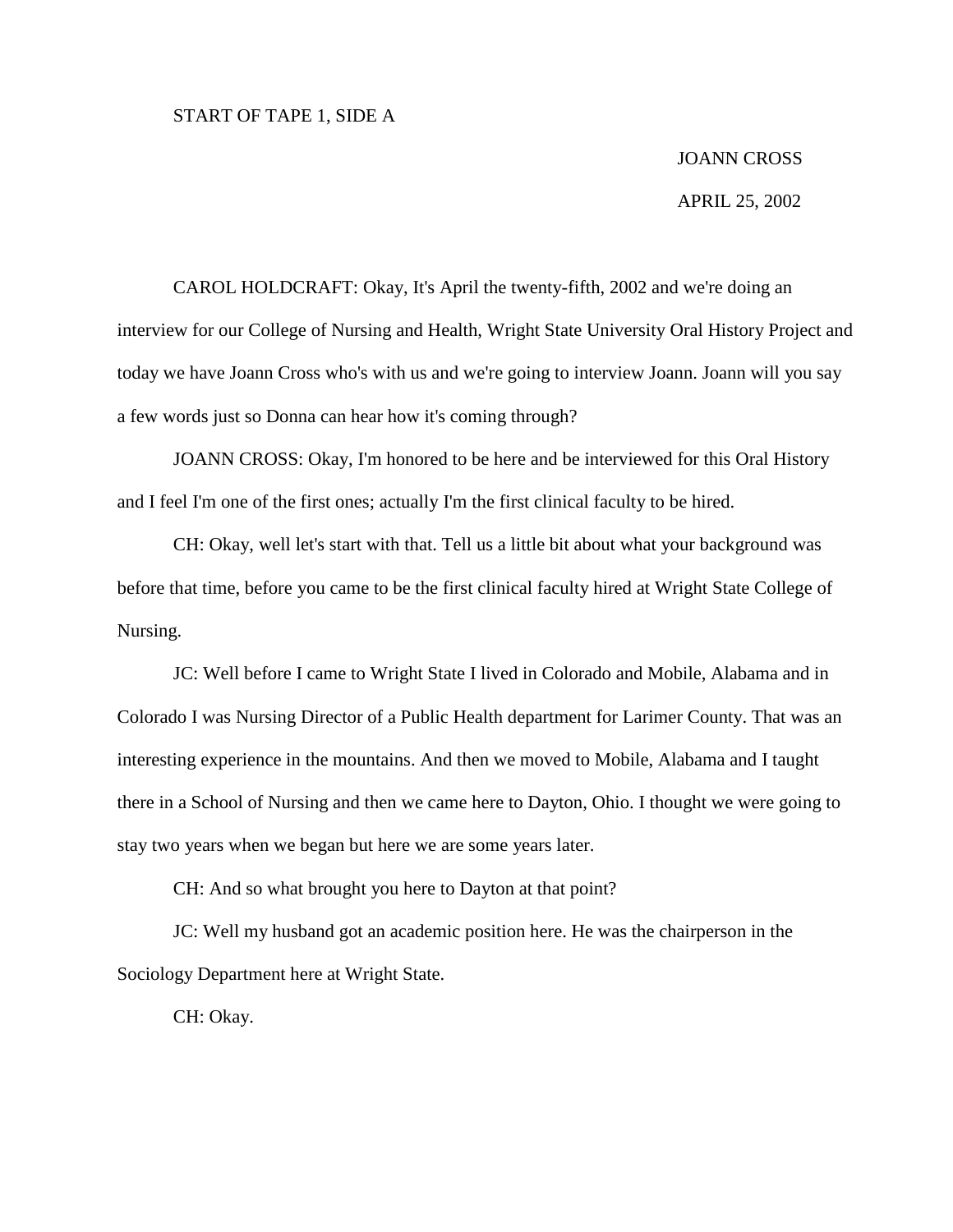## START OF TAPE 1, SIDE A

# JOANN CROSS

#### APRIL 25, 2002

CAROL HOLDCRAFT: Okay, It's April the twenty-fifth, 2002 and we're doing an interview for our College of Nursing and Health, Wright State University Oral History Project and today we have Joann Cross who's with us and we're going to interview Joann. Joann will you say a few words just so Donna can hear how it's coming through?

JOANN CROSS: Okay, I'm honored to be here and be interviewed for this Oral History and I feel I'm one of the first ones; actually I'm the first clinical faculty to be hired.

CH: Okay, well let's start with that. Tell us a little bit about what your background was before that time, before you came to be the first clinical faculty hired at Wright State College of Nursing.

JC: Well before I came to Wright State I lived in Colorado and Mobile, Alabama and in Colorado I was Nursing Director of a Public Health department for Larimer County. That was an interesting experience in the mountains. And then we moved to Mobile, Alabama and I taught there in a School of Nursing and then we came here to Dayton, Ohio. I thought we were going to stay two years when we began but here we are some years later.

CH: And so what brought you here to Dayton at that point?

JC: Well my husband got an academic position here. He was the chairperson in the Sociology Department here at Wright State.

CH: Okay.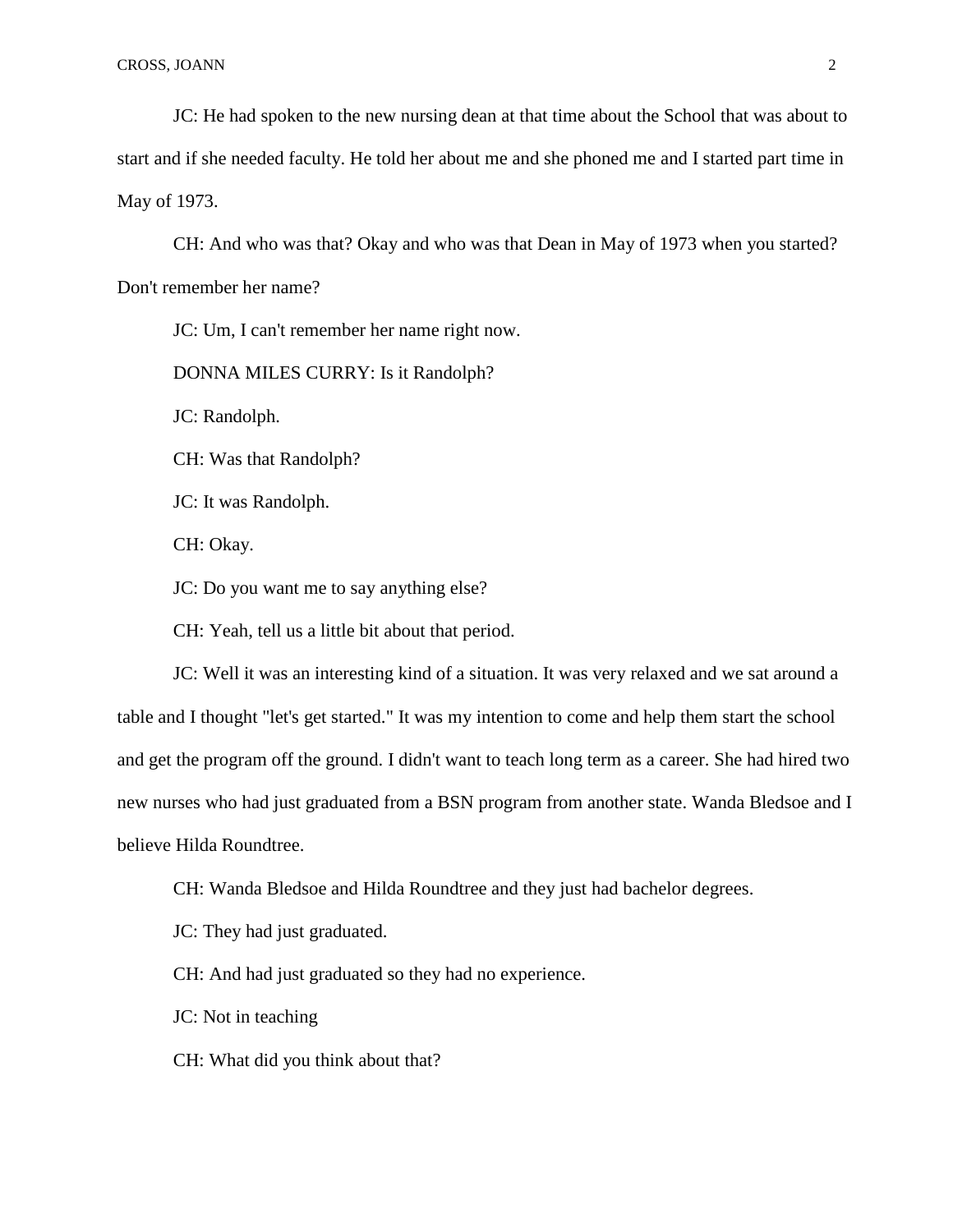JC: He had spoken to the new nursing dean at that time about the School that was about to start and if she needed faculty. He told her about me and she phoned me and I started part time in May of 1973.

CH: And who was that? Okay and who was that Dean in May of 1973 when you started? Don't remember her name?

JC: Um, I can't remember her name right now.

DONNA MILES CURRY: Is it Randolph?

JC: Randolph.

CH: Was that Randolph?

JC: It was Randolph.

CH: Okay.

JC: Do you want me to say anything else?

CH: Yeah, tell us a little bit about that period.

JC: Well it was an interesting kind of a situation. It was very relaxed and we sat around a table and I thought "let's get started." It was my intention to come and help them start the school and get the program off the ground. I didn't want to teach long term as a career. She had hired two new nurses who had just graduated from a BSN program from another state. Wanda Bledsoe and I believe Hilda Roundtree.

CH: Wanda Bledsoe and Hilda Roundtree and they just had bachelor degrees.

JC: They had just graduated.

CH: And had just graduated so they had no experience.

JC: Not in teaching

CH: What did you think about that?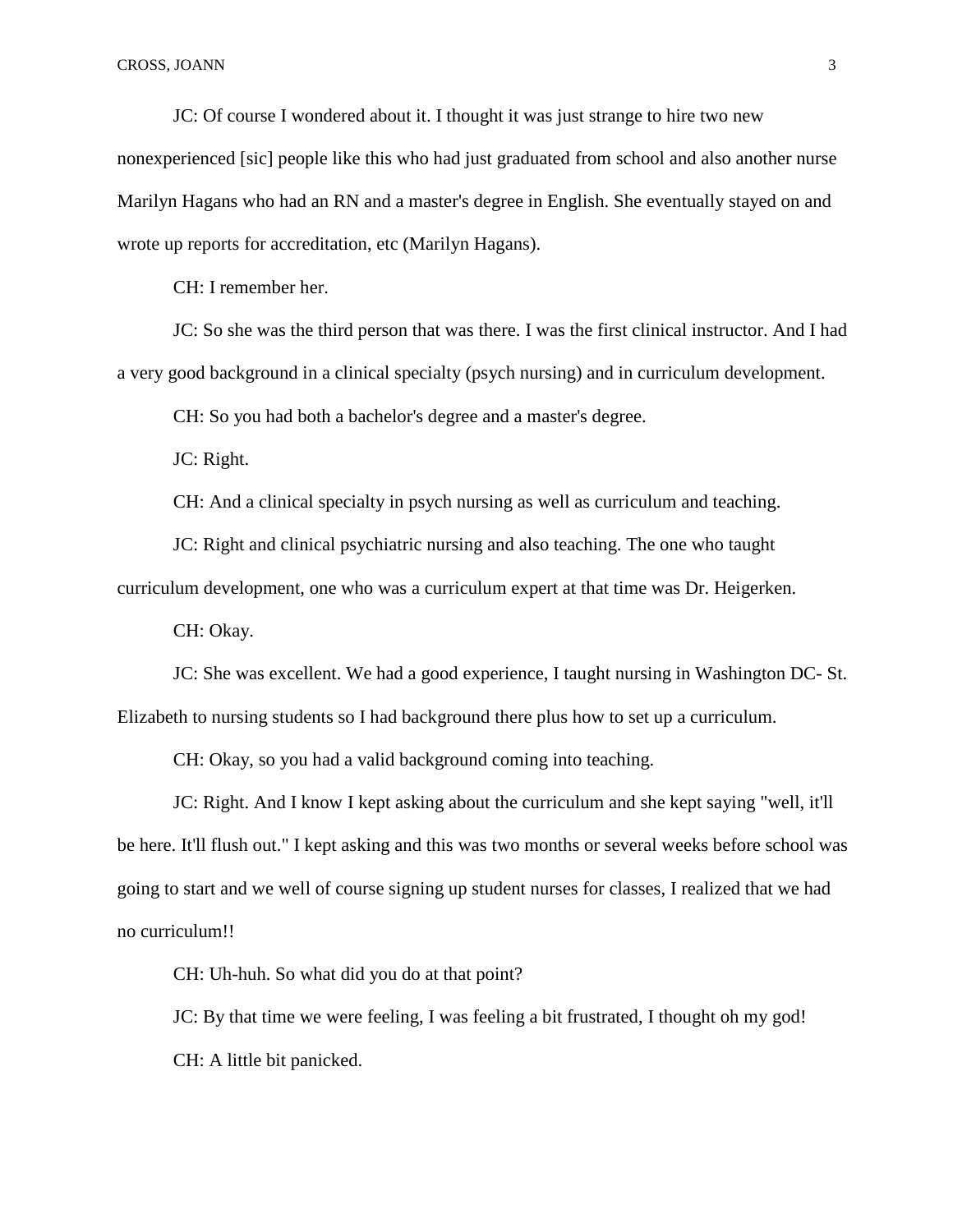JC: Of course I wondered about it. I thought it was just strange to hire two new nonexperienced [sic] people like this who had just graduated from school and also another nurse Marilyn Hagans who had an RN and a master's degree in English. She eventually stayed on and wrote up reports for accreditation, etc (Marilyn Hagans).

CH: I remember her.

JC: So she was the third person that was there. I was the first clinical instructor. And I had a very good background in a clinical specialty (psych nursing) and in curriculum development.

CH: So you had both a bachelor's degree and a master's degree.

JC: Right.

CH: And a clinical specialty in psych nursing as well as curriculum and teaching.

JC: Right and clinical psychiatric nursing and also teaching. The one who taught

curriculum development, one who was a curriculum expert at that time was Dr. Heigerken.

CH: Okay.

JC: She was excellent. We had a good experience, I taught nursing in Washington DC- St. Elizabeth to nursing students so I had background there plus how to set up a curriculum.

CH: Okay, so you had a valid background coming into teaching.

JC: Right. And I know I kept asking about the curriculum and she kept saying "well, it'll be here. It'll flush out." I kept asking and this was two months or several weeks before school was going to start and we well of course signing up student nurses for classes, I realized that we had no curriculum!!

CH: Uh-huh. So what did you do at that point?

JC: By that time we were feeling, I was feeling a bit frustrated, I thought oh my god! CH: A little bit panicked.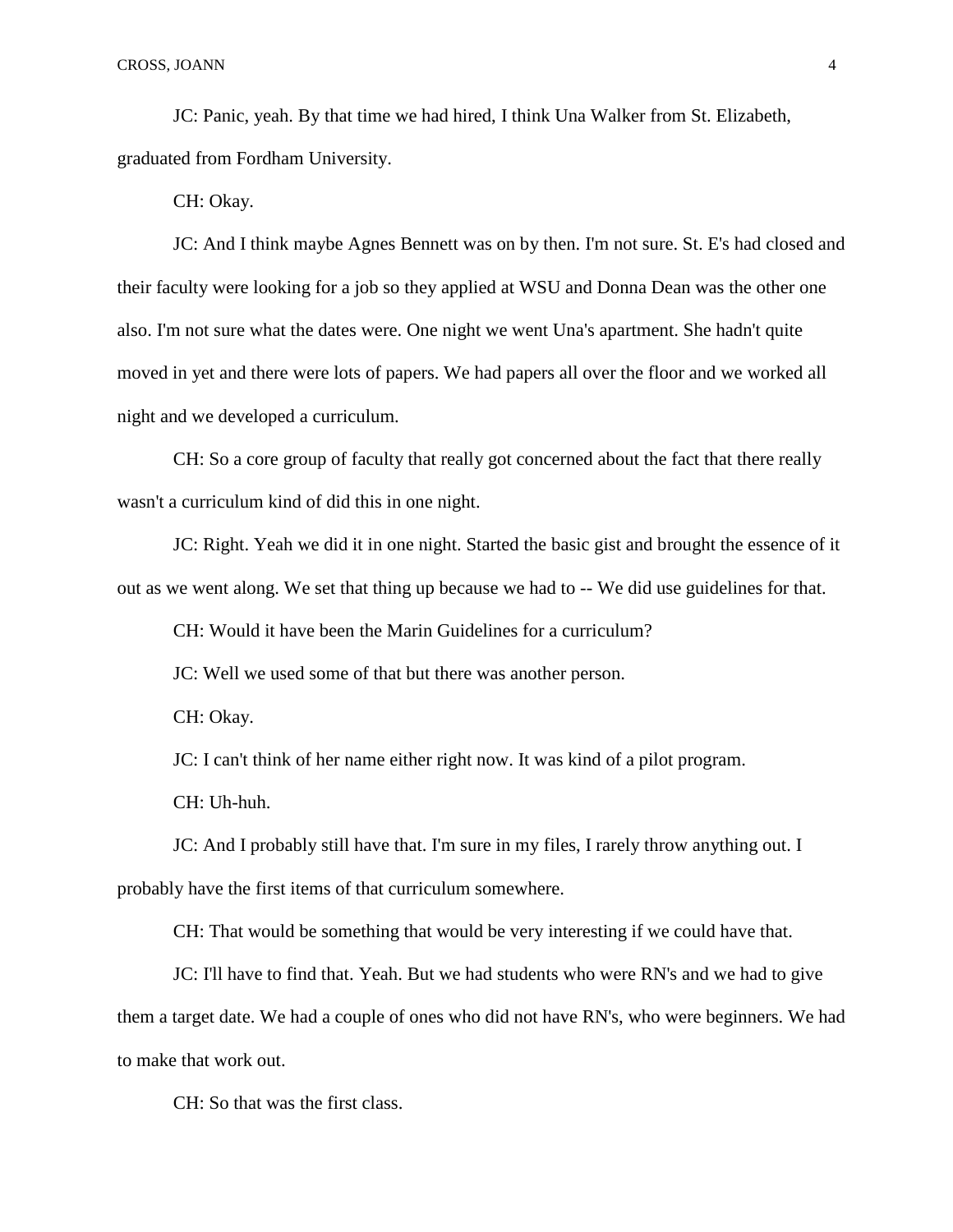JC: Panic, yeah. By that time we had hired, I think Una Walker from St. Elizabeth, graduated from Fordham University.

CH: Okay.

JC: And I think maybe Agnes Bennett was on by then. I'm not sure. St. E's had closed and their faculty were looking for a job so they applied at WSU and Donna Dean was the other one also. I'm not sure what the dates were. One night we went Una's apartment. She hadn't quite moved in yet and there were lots of papers. We had papers all over the floor and we worked all night and we developed a curriculum.

CH: So a core group of faculty that really got concerned about the fact that there really wasn't a curriculum kind of did this in one night.

JC: Right. Yeah we did it in one night. Started the basic gist and brought the essence of it out as we went along. We set that thing up because we had to -- We did use guidelines for that.

CH: Would it have been the Marin Guidelines for a curriculum?

JC: Well we used some of that but there was another person.

CH: Okay.

JC: I can't think of her name either right now. It was kind of a pilot program.

CH: Uh-huh.

JC: And I probably still have that. I'm sure in my files, I rarely throw anything out. I probably have the first items of that curriculum somewhere.

CH: That would be something that would be very interesting if we could have that.

JC: I'll have to find that. Yeah. But we had students who were RN's and we had to give them a target date. We had a couple of ones who did not have RN's, who were beginners. We had to make that work out.

CH: So that was the first class.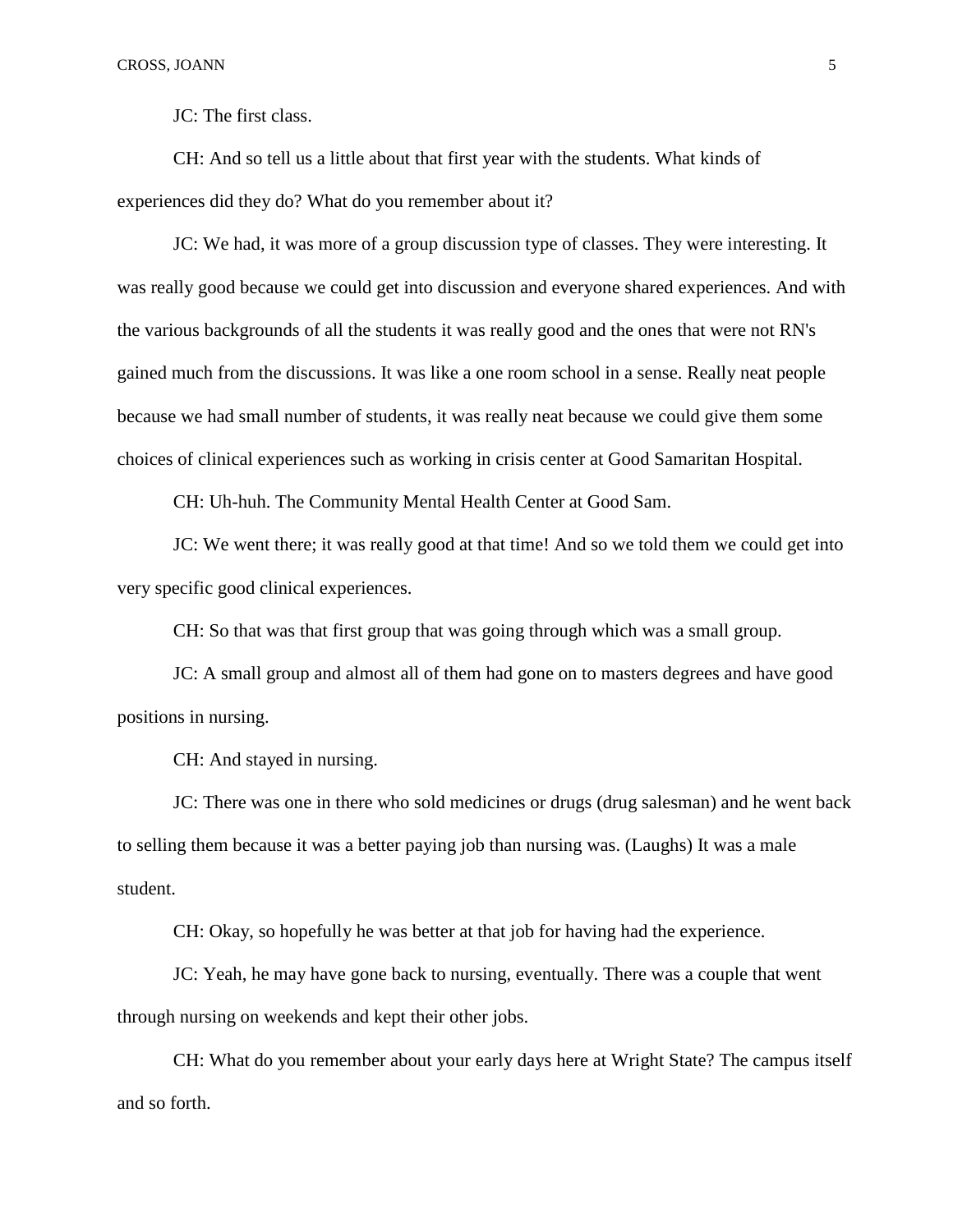JC: The first class.

CH: And so tell us a little about that first year with the students. What kinds of experiences did they do? What do you remember about it?

JC: We had, it was more of a group discussion type of classes. They were interesting. It was really good because we could get into discussion and everyone shared experiences. And with the various backgrounds of all the students it was really good and the ones that were not RN's gained much from the discussions. It was like a one room school in a sense. Really neat people because we had small number of students, it was really neat because we could give them some choices of clinical experiences such as working in crisis center at Good Samaritan Hospital.

CH: Uh-huh. The Community Mental Health Center at Good Sam.

JC: We went there; it was really good at that time! And so we told them we could get into very specific good clinical experiences.

CH: So that was that first group that was going through which was a small group.

JC: A small group and almost all of them had gone on to masters degrees and have good positions in nursing.

CH: And stayed in nursing.

JC: There was one in there who sold medicines or drugs (drug salesman) and he went back to selling them because it was a better paying job than nursing was. (Laughs) It was a male student.

CH: Okay, so hopefully he was better at that job for having had the experience.

JC: Yeah, he may have gone back to nursing, eventually. There was a couple that went through nursing on weekends and kept their other jobs.

CH: What do you remember about your early days here at Wright State? The campus itself and so forth.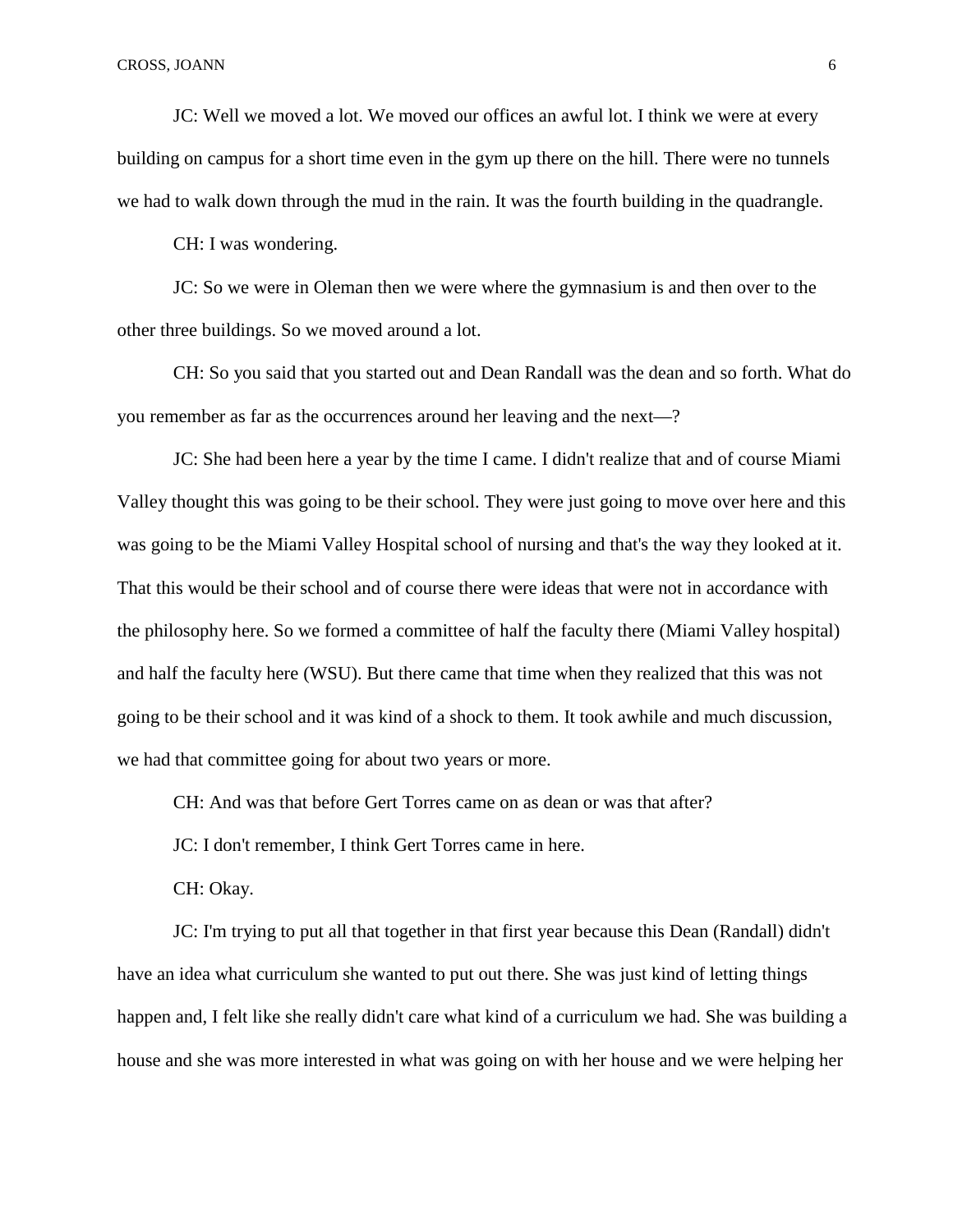JC: Well we moved a lot. We moved our offices an awful lot. I think we were at every building on campus for a short time even in the gym up there on the hill. There were no tunnels we had to walk down through the mud in the rain. It was the fourth building in the quadrangle.

CH: I was wondering.

JC: So we were in Oleman then we were where the gymnasium is and then over to the other three buildings. So we moved around a lot.

CH: So you said that you started out and Dean Randall was the dean and so forth. What do you remember as far as the occurrences around her leaving and the next—?

JC: She had been here a year by the time I came. I didn't realize that and of course Miami Valley thought this was going to be their school. They were just going to move over here and this was going to be the Miami Valley Hospital school of nursing and that's the way they looked at it. That this would be their school and of course there were ideas that were not in accordance with the philosophy here. So we formed a committee of half the faculty there (Miami Valley hospital) and half the faculty here (WSU). But there came that time when they realized that this was not going to be their school and it was kind of a shock to them. It took awhile and much discussion, we had that committee going for about two years or more.

CH: And was that before Gert Torres came on as dean or was that after?

JC: I don't remember, I think Gert Torres came in here.

CH: Okay.

JC: I'm trying to put all that together in that first year because this Dean (Randall) didn't have an idea what curriculum she wanted to put out there. She was just kind of letting things happen and, I felt like she really didn't care what kind of a curriculum we had. She was building a house and she was more interested in what was going on with her house and we were helping her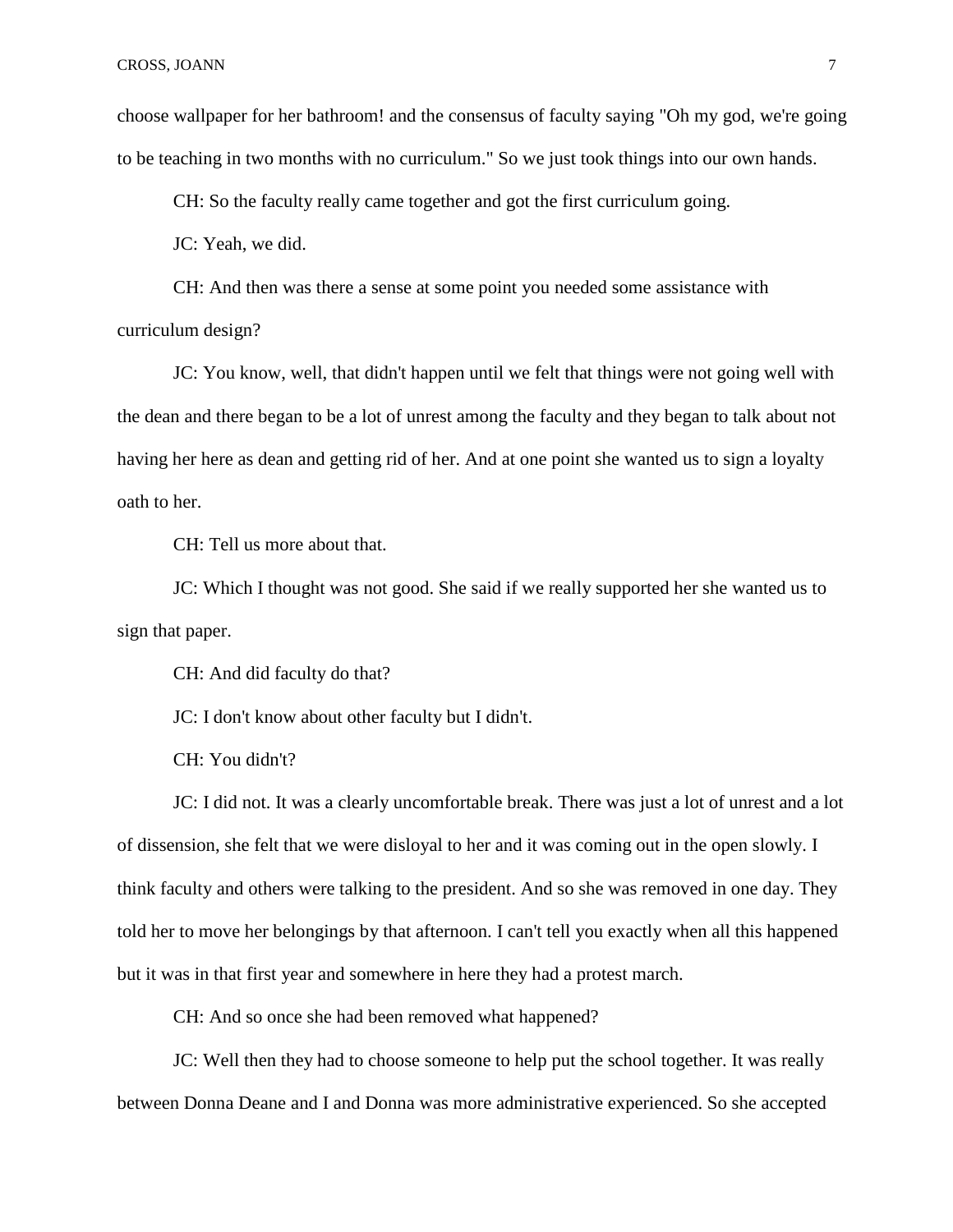choose wallpaper for her bathroom! and the consensus of faculty saying "Oh my god, we're going to be teaching in two months with no curriculum." So we just took things into our own hands.

CH: So the faculty really came together and got the first curriculum going.

JC: Yeah, we did.

CH: And then was there a sense at some point you needed some assistance with curriculum design?

JC: You know, well, that didn't happen until we felt that things were not going well with the dean and there began to be a lot of unrest among the faculty and they began to talk about not having her here as dean and getting rid of her. And at one point she wanted us to sign a loyalty oath to her.

CH: Tell us more about that.

JC: Which I thought was not good. She said if we really supported her she wanted us to sign that paper.

CH: And did faculty do that?

JC: I don't know about other faculty but I didn't.

CH: You didn't?

JC: I did not. It was a clearly uncomfortable break. There was just a lot of unrest and a lot of dissension, she felt that we were disloyal to her and it was coming out in the open slowly. I think faculty and others were talking to the president. And so she was removed in one day. They told her to move her belongings by that afternoon. I can't tell you exactly when all this happened but it was in that first year and somewhere in here they had a protest march.

CH: And so once she had been removed what happened?

JC: Well then they had to choose someone to help put the school together. It was really between Donna Deane and I and Donna was more administrative experienced. So she accepted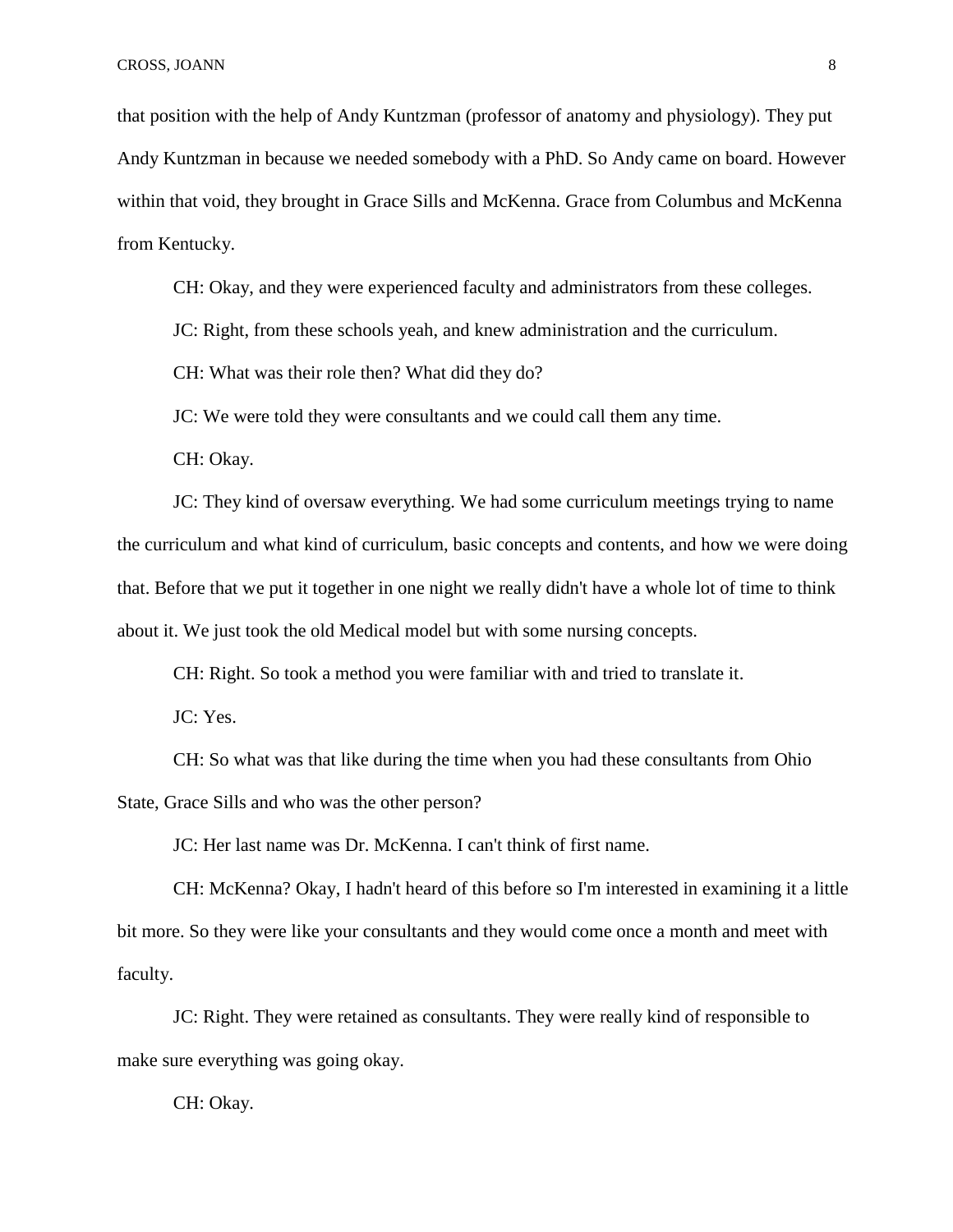that position with the help of Andy Kuntzman (professor of anatomy and physiology). They put Andy Kuntzman in because we needed somebody with a PhD. So Andy came on board. However within that void, they brought in Grace Sills and McKenna. Grace from Columbus and McKenna from Kentucky.

CH: Okay, and they were experienced faculty and administrators from these colleges.

JC: Right, from these schools yeah, and knew administration and the curriculum.

CH: What was their role then? What did they do?

JC: We were told they were consultants and we could call them any time.

CH: Okay.

JC: They kind of oversaw everything. We had some curriculum meetings trying to name the curriculum and what kind of curriculum, basic concepts and contents, and how we were doing that. Before that we put it together in one night we really didn't have a whole lot of time to think about it. We just took the old Medical model but with some nursing concepts.

CH: Right. So took a method you were familiar with and tried to translate it.

JC: Yes.

CH: So what was that like during the time when you had these consultants from Ohio State, Grace Sills and who was the other person?

JC: Her last name was Dr. McKenna. I can't think of first name.

CH: McKenna? Okay, I hadn't heard of this before so I'm interested in examining it a little bit more. So they were like your consultants and they would come once a month and meet with faculty.

JC: Right. They were retained as consultants. They were really kind of responsible to make sure everything was going okay.

CH: Okay.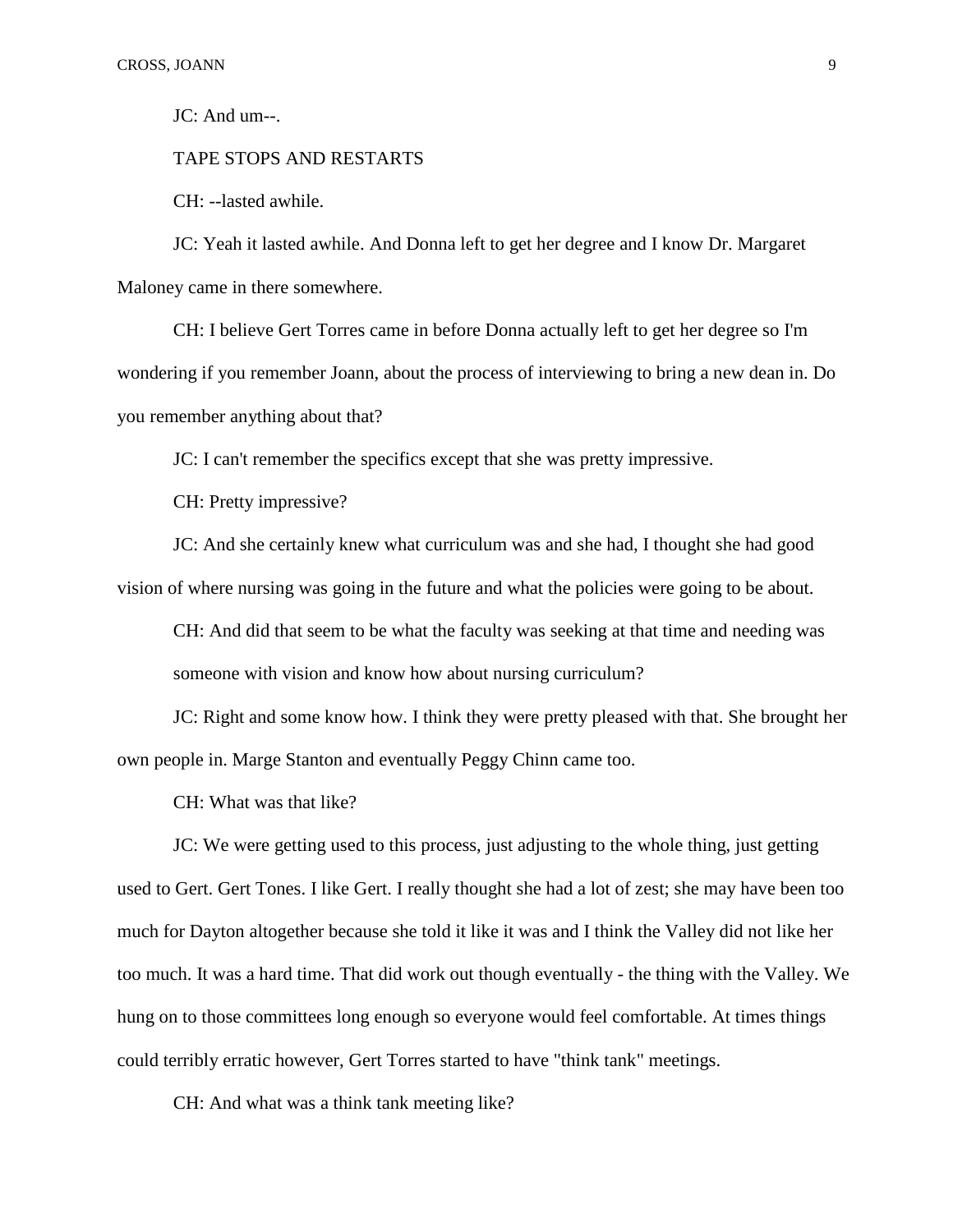JC: And um--.

TAPE STOPS AND RESTARTS

CH: --lasted awhile.

JC: Yeah it lasted awhile. And Donna left to get her degree and I know Dr. Margaret Maloney came in there somewhere.

CH: I believe Gert Torres came in before Donna actually left to get her degree so I'm wondering if you remember Joann, about the process of interviewing to bring a new dean in. Do you remember anything about that?

JC: I can't remember the specifics except that she was pretty impressive.

CH: Pretty impressive?

JC: And she certainly knew what curriculum was and she had, I thought she had good vision of where nursing was going in the future and what the policies were going to be about.

CH: And did that seem to be what the faculty was seeking at that time and needing was someone with vision and know how about nursing curriculum?

JC: Right and some know how. I think they were pretty pleased with that. She brought her own people in. Marge Stanton and eventually Peggy Chinn came too.

CH: What was that like?

JC: We were getting used to this process, just adjusting to the whole thing, just getting used to Gert. Gert Tones. I like Gert. I really thought she had a lot of zest; she may have been too much for Dayton altogether because she told it like it was and I think the Valley did not like her too much. It was a hard time. That did work out though eventually - the thing with the Valley. We hung on to those committees long enough so everyone would feel comfortable. At times things could terribly erratic however, Gert Torres started to have "think tank" meetings.

CH: And what was a think tank meeting like?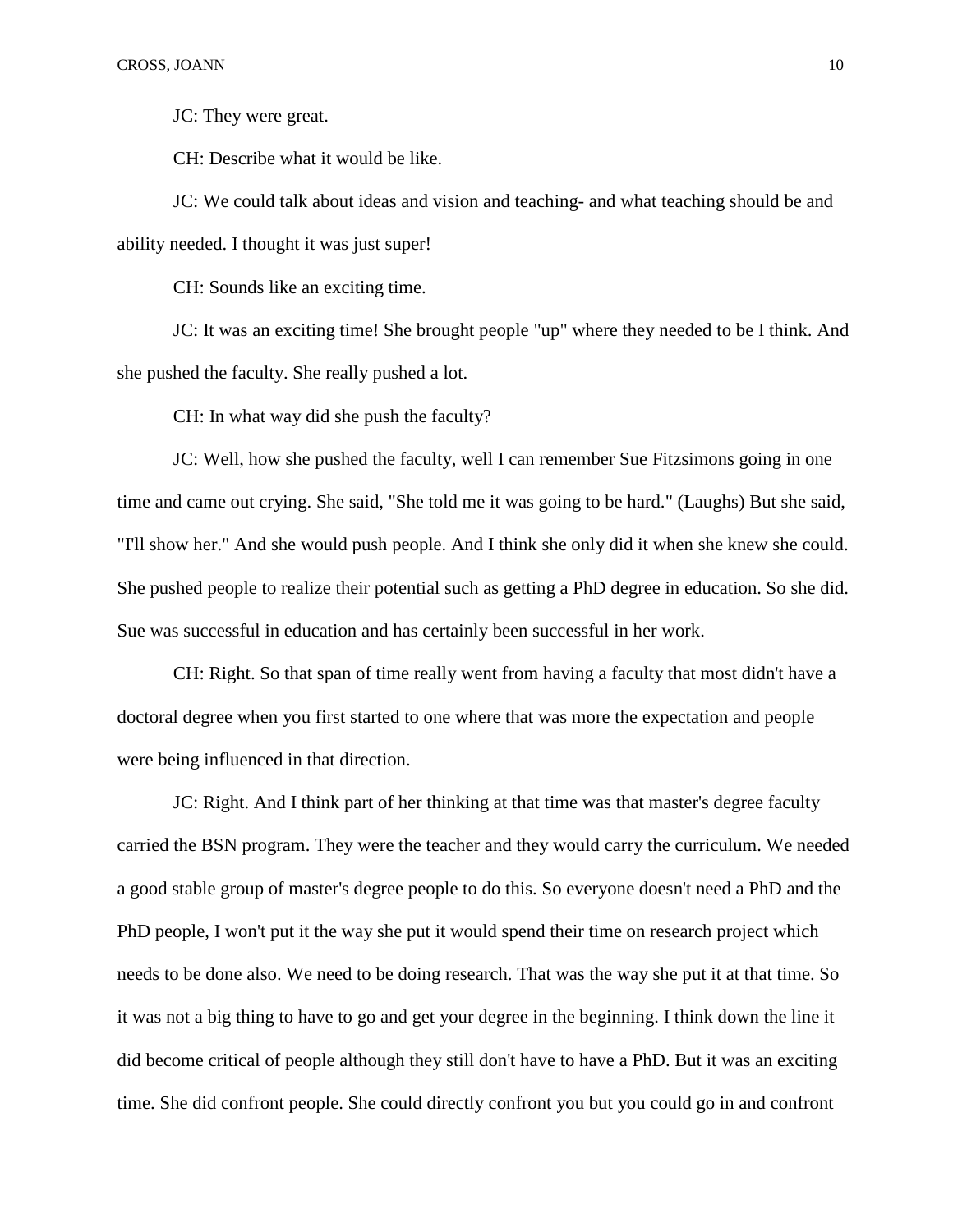JC: They were great.

CH: Describe what it would be like.

JC: We could talk about ideas and vision and teaching- and what teaching should be and ability needed. I thought it was just super!

CH: Sounds like an exciting time.

JC: It was an exciting time! She brought people "up" where they needed to be I think. And she pushed the faculty. She really pushed a lot.

CH: In what way did she push the faculty?

JC: Well, how she pushed the faculty, well I can remember Sue Fitzsimons going in one time and came out crying. She said, "She told me it was going to be hard." (Laughs) But she said, "I'll show her." And she would push people. And I think she only did it when she knew she could. She pushed people to realize their potential such as getting a PhD degree in education. So she did. Sue was successful in education and has certainly been successful in her work.

CH: Right. So that span of time really went from having a faculty that most didn't have a doctoral degree when you first started to one where that was more the expectation and people were being influenced in that direction.

JC: Right. And I think part of her thinking at that time was that master's degree faculty carried the BSN program. They were the teacher and they would carry the curriculum. We needed a good stable group of master's degree people to do this. So everyone doesn't need a PhD and the PhD people, I won't put it the way she put it would spend their time on research project which needs to be done also. We need to be doing research. That was the way she put it at that time. So it was not a big thing to have to go and get your degree in the beginning. I think down the line it did become critical of people although they still don't have to have a PhD. But it was an exciting time. She did confront people. She could directly confront you but you could go in and confront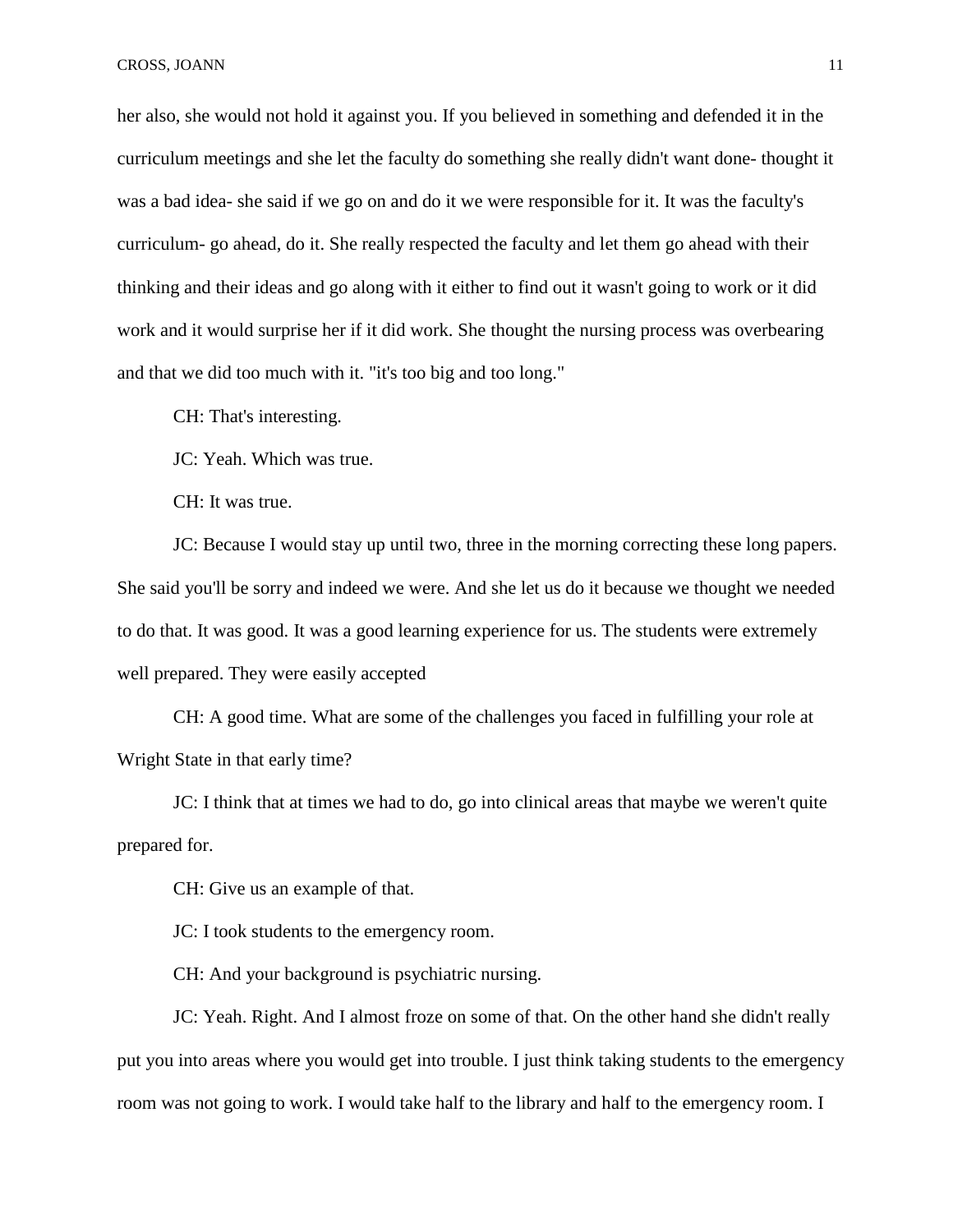her also, she would not hold it against you. If you believed in something and defended it in the curriculum meetings and she let the faculty do something she really didn't want done- thought it was a bad idea- she said if we go on and do it we were responsible for it. It was the faculty's curriculum- go ahead, do it. She really respected the faculty and let them go ahead with their thinking and their ideas and go along with it either to find out it wasn't going to work or it did work and it would surprise her if it did work. She thought the nursing process was overbearing and that we did too much with it. "it's too big and too long."

CH: That's interesting.

JC: Yeah. Which was true.

CH: It was true.

JC: Because I would stay up until two, three in the morning correcting these long papers. She said you'll be sorry and indeed we were. And she let us do it because we thought we needed to do that. It was good. It was a good learning experience for us. The students were extremely well prepared. They were easily accepted

CH: A good time. What are some of the challenges you faced in fulfilling your role at Wright State in that early time?

JC: I think that at times we had to do, go into clinical areas that maybe we weren't quite prepared for.

CH: Give us an example of that.

JC: I took students to the emergency room.

CH: And your background is psychiatric nursing.

JC: Yeah. Right. And I almost froze on some of that. On the other hand she didn't really put you into areas where you would get into trouble. I just think taking students to the emergency room was not going to work. I would take half to the library and half to the emergency room. I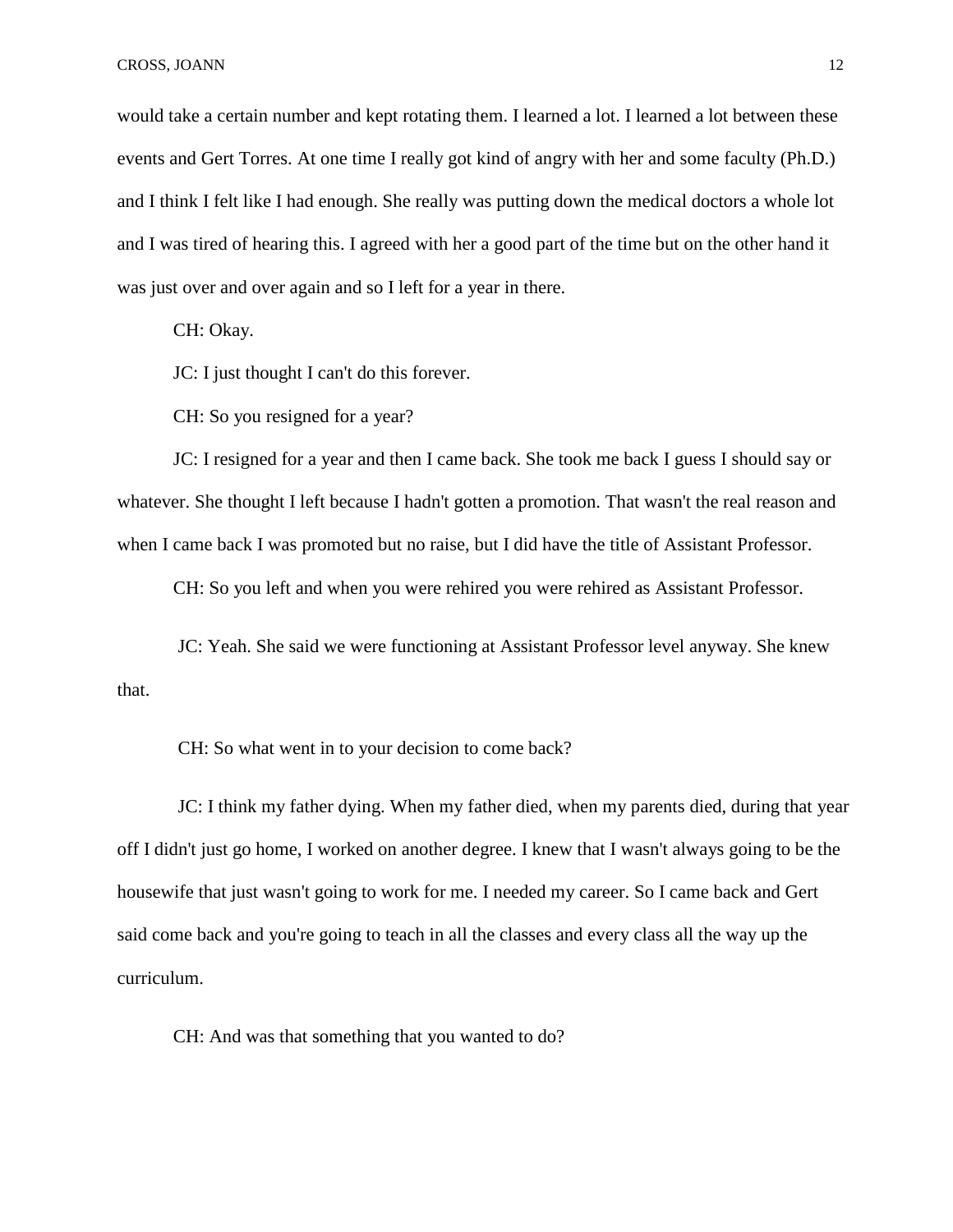would take a certain number and kept rotating them. I learned a lot. I learned a lot between these events and Gert Torres. At one time I really got kind of angry with her and some faculty (Ph.D.) and I think I felt like I had enough. She really was putting down the medical doctors a whole lot and I was tired of hearing this. I agreed with her a good part of the time but on the other hand it was just over and over again and so I left for a year in there.

CH: Okay.

JC: I just thought I can't do this forever.

CH: So you resigned for a year?

JC: I resigned for a year and then I came back. She took me back I guess I should say or whatever. She thought I left because I hadn't gotten a promotion. That wasn't the real reason and when I came back I was promoted but no raise, but I did have the title of Assistant Professor.

CH: So you left and when you were rehired you were rehired as Assistant Professor.

 JC: Yeah. She said we were functioning at Assistant Professor level anyway. She knew that.

CH: So what went in to your decision to come back?

 JC: I think my father dying. When my father died, when my parents died, during that year off I didn't just go home, I worked on another degree. I knew that I wasn't always going to be the housewife that just wasn't going to work for me. I needed my career. So I came back and Gert said come back and you're going to teach in all the classes and every class all the way up the curriculum.

CH: And was that something that you wanted to do?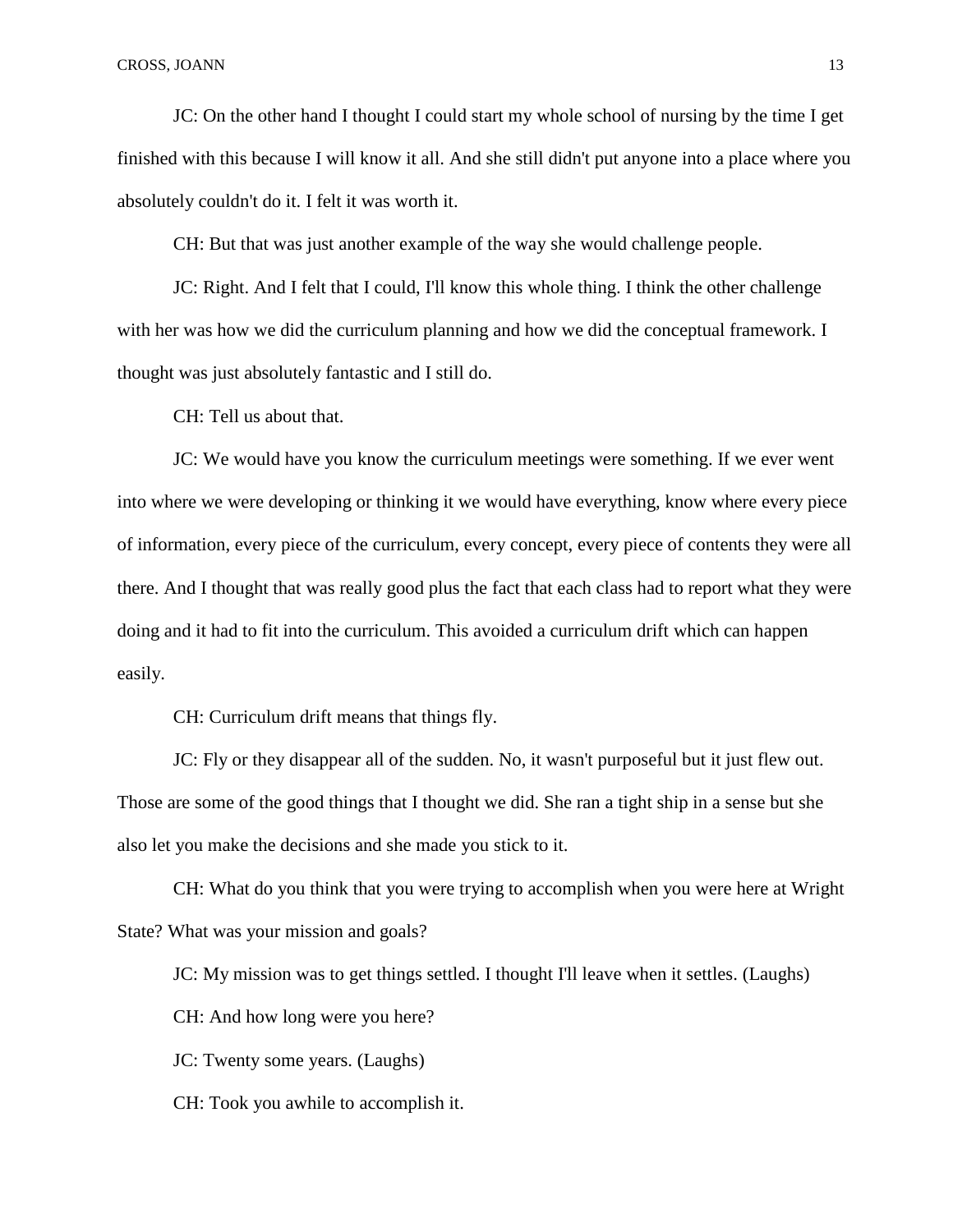JC: On the other hand I thought I could start my whole school of nursing by the time I get finished with this because I will know it all. And she still didn't put anyone into a place where you absolutely couldn't do it. I felt it was worth it.

CH: But that was just another example of the way she would challenge people.

JC: Right. And I felt that I could, I'll know this whole thing. I think the other challenge with her was how we did the curriculum planning and how we did the conceptual framework. I thought was just absolutely fantastic and I still do.

CH: Tell us about that.

JC: We would have you know the curriculum meetings were something. If we ever went into where we were developing or thinking it we would have everything, know where every piece of information, every piece of the curriculum, every concept, every piece of contents they were all there. And I thought that was really good plus the fact that each class had to report what they were doing and it had to fit into the curriculum. This avoided a curriculum drift which can happen easily.

CH: Curriculum drift means that things fly.

JC: Fly or they disappear all of the sudden. No, it wasn't purposeful but it just flew out. Those are some of the good things that I thought we did. She ran a tight ship in a sense but she also let you make the decisions and she made you stick to it.

CH: What do you think that you were trying to accomplish when you were here at Wright State? What was your mission and goals?

JC: My mission was to get things settled. I thought I'll leave when it settles. (Laughs)

CH: And how long were you here?

JC: Twenty some years. (Laughs)

CH: Took you awhile to accomplish it.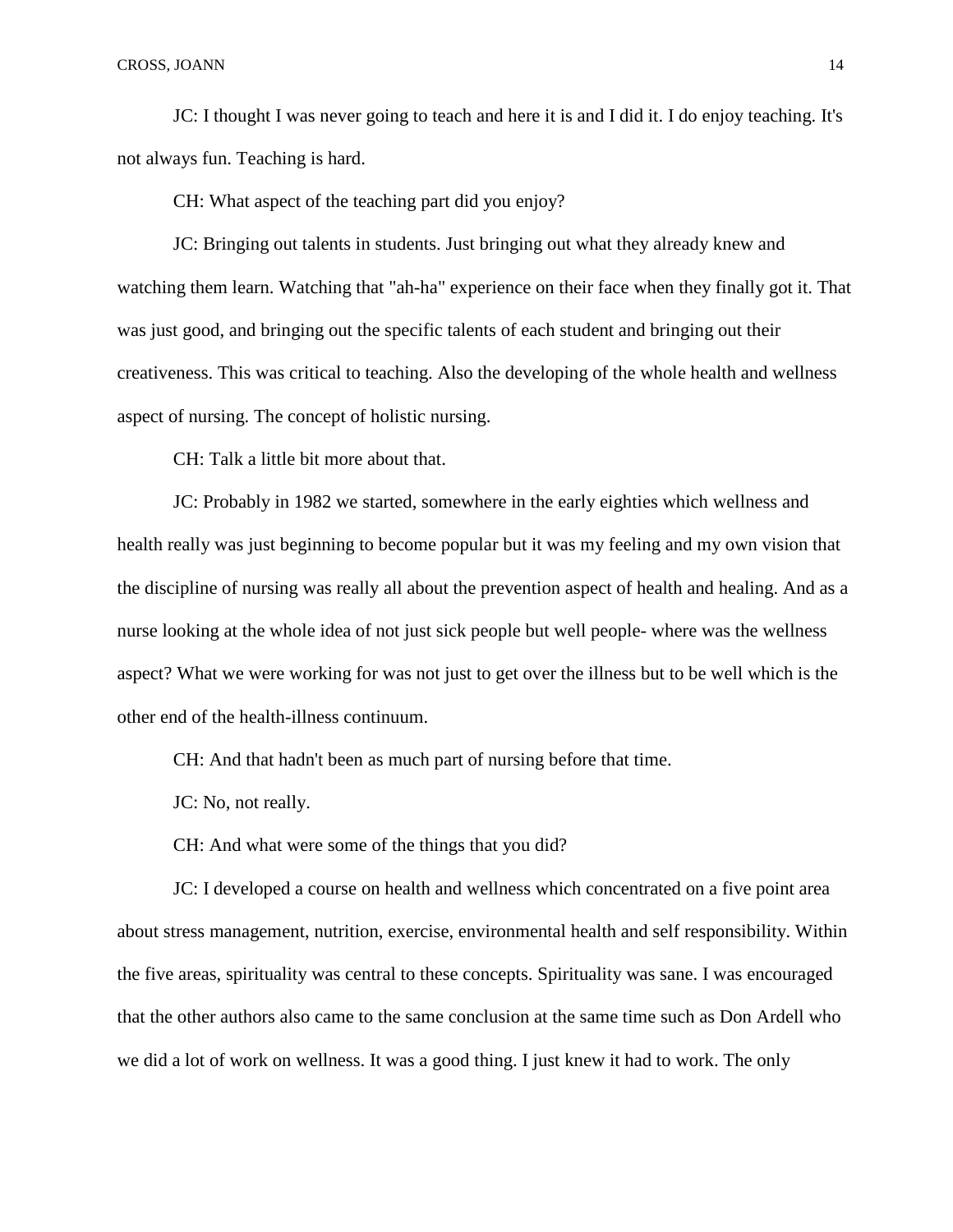JC: I thought I was never going to teach and here it is and I did it. I do enjoy teaching. It's not always fun. Teaching is hard.

CH: What aspect of the teaching part did you enjoy?

JC: Bringing out talents in students. Just bringing out what they already knew and watching them learn. Watching that "ah-ha" experience on their face when they finally got it. That was just good, and bringing out the specific talents of each student and bringing out their creativeness. This was critical to teaching. Also the developing of the whole health and wellness aspect of nursing. The concept of holistic nursing.

CH: Talk a little bit more about that.

JC: Probably in 1982 we started, somewhere in the early eighties which wellness and health really was just beginning to become popular but it was my feeling and my own vision that the discipline of nursing was really all about the prevention aspect of health and healing. And as a nurse looking at the whole idea of not just sick people but well people- where was the wellness aspect? What we were working for was not just to get over the illness but to be well which is the other end of the health-illness continuum.

CH: And that hadn't been as much part of nursing before that time.

JC: No, not really.

CH: And what were some of the things that you did?

JC: I developed a course on health and wellness which concentrated on a five point area about stress management, nutrition, exercise, environmental health and self responsibility. Within the five areas, spirituality was central to these concepts. Spirituality was sane. I was encouraged that the other authors also came to the same conclusion at the same time such as Don Ardell who we did a lot of work on wellness. It was a good thing. I just knew it had to work. The only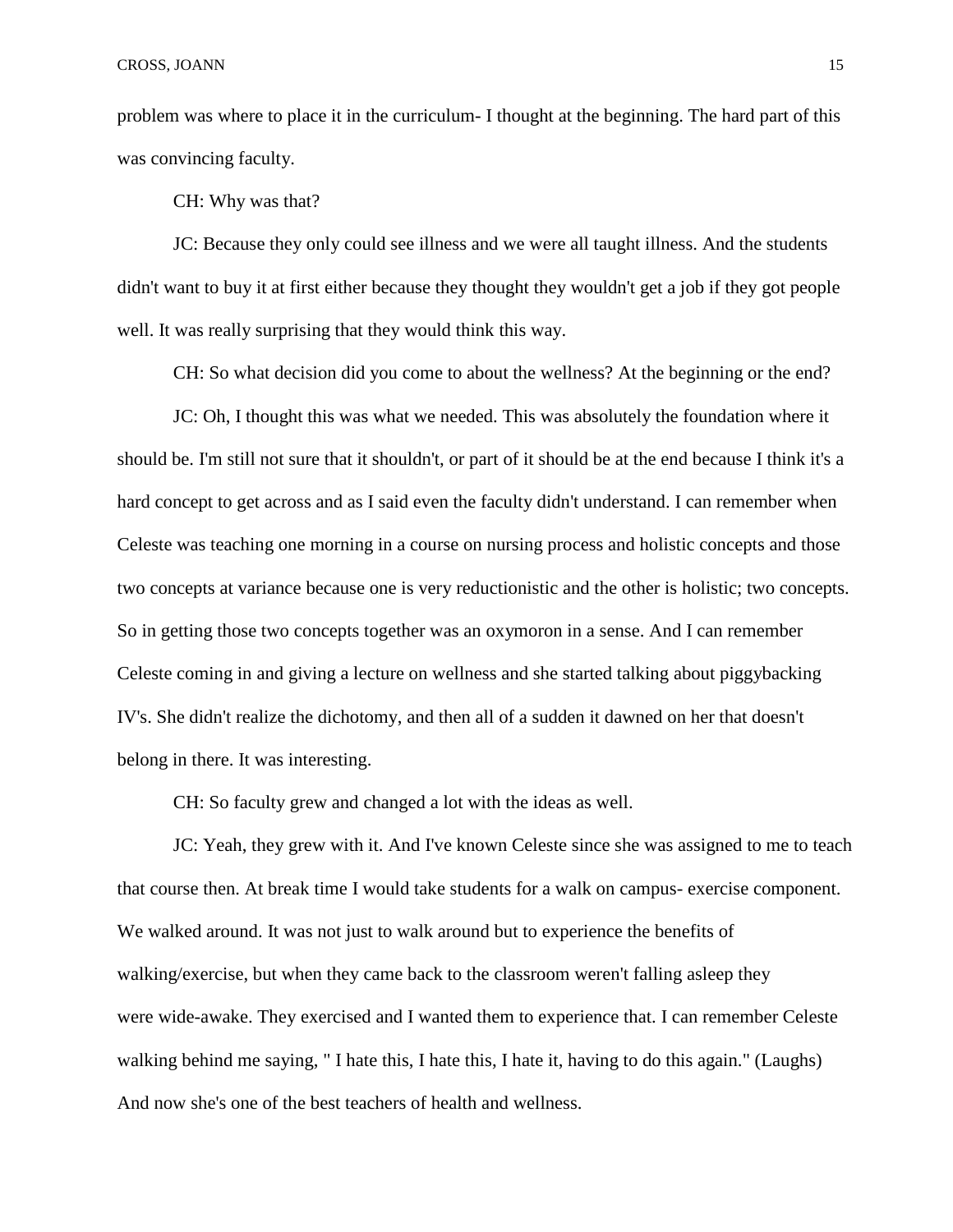problem was where to place it in the curriculum- I thought at the beginning. The hard part of this was convincing faculty.

CH: Why was that?

JC: Because they only could see illness and we were all taught illness. And the students didn't want to buy it at first either because they thought they wouldn't get a job if they got people well. It was really surprising that they would think this way.

CH: So what decision did you come to about the wellness? At the beginning or the end?

JC: Oh, I thought this was what we needed. This was absolutely the foundation where it should be. I'm still not sure that it shouldn't, or part of it should be at the end because I think it's a hard concept to get across and as I said even the faculty didn't understand. I can remember when Celeste was teaching one morning in a course on nursing process and holistic concepts and those two concepts at variance because one is very reductionistic and the other is holistic; two concepts. So in getting those two concepts together was an oxymoron in a sense. And I can remember Celeste coming in and giving a lecture on wellness and she started talking about piggybacking IV's. She didn't realize the dichotomy, and then all of a sudden it dawned on her that doesn't belong in there. It was interesting.

CH: So faculty grew and changed a lot with the ideas as well.

JC: Yeah, they grew with it. And I've known Celeste since she was assigned to me to teach that course then. At break time I would take students for a walk on campus- exercise component. We walked around. It was not just to walk around but to experience the benefits of walking/exercise, but when they came back to the classroom weren't falling asleep they were wide-awake. They exercised and I wanted them to experience that. I can remember Celeste walking behind me saying, "I hate this, I hate this, I hate it, having to do this again." (Laughs) And now she's one of the best teachers of health and wellness.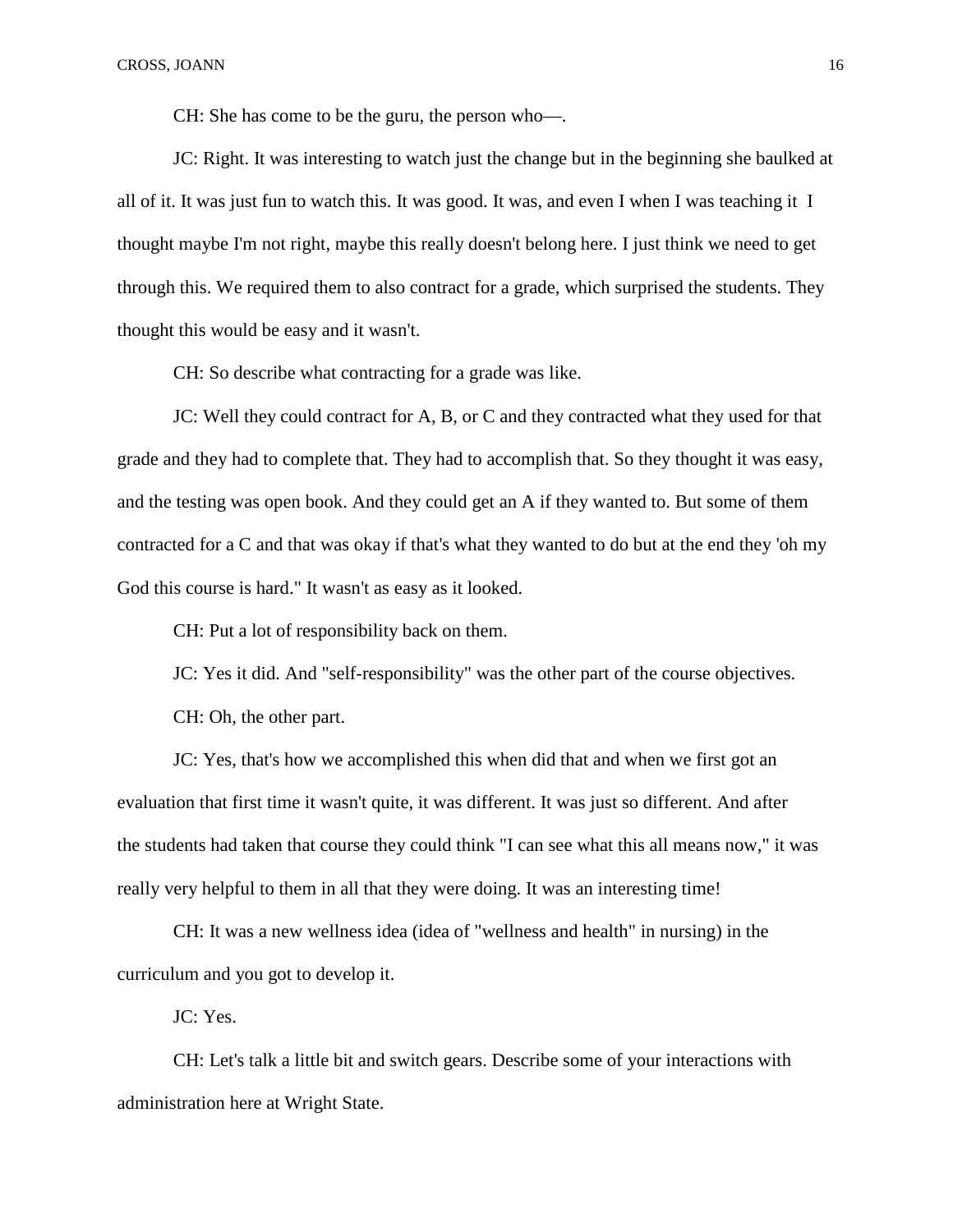CH: She has come to be the guru, the person who—.

JC: Right. It was interesting to watch just the change but in the beginning she baulked at all of it. It was just fun to watch this. It was good. It was, and even I when I was teaching it I thought maybe I'm not right, maybe this really doesn't belong here. I just think we need to get through this. We required them to also contract for a grade, which surprised the students. They thought this would be easy and it wasn't.

CH: So describe what contracting for a grade was like.

JC: Well they could contract for A, B, or C and they contracted what they used for that grade and they had to complete that. They had to accomplish that. So they thought it was easy, and the testing was open book. And they could get an A if they wanted to. But some of them contracted for a C and that was okay if that's what they wanted to do but at the end they 'oh my God this course is hard." It wasn't as easy as it looked.

CH: Put a lot of responsibility back on them.

JC: Yes it did. And "self-responsibility" was the other part of the course objectives.

CH: Oh, the other part.

JC: Yes, that's how we accomplished this when did that and when we first got an evaluation that first time it wasn't quite, it was different. It was just so different. And after the students had taken that course they could think "I can see what this all means now," it was really very helpful to them in all that they were doing. It was an interesting time!

CH: It was a new wellness idea (idea of "wellness and health" in nursing) in the curriculum and you got to develop it.

JC: Yes.

CH: Let's talk a little bit and switch gears. Describe some of your interactions with administration here at Wright State.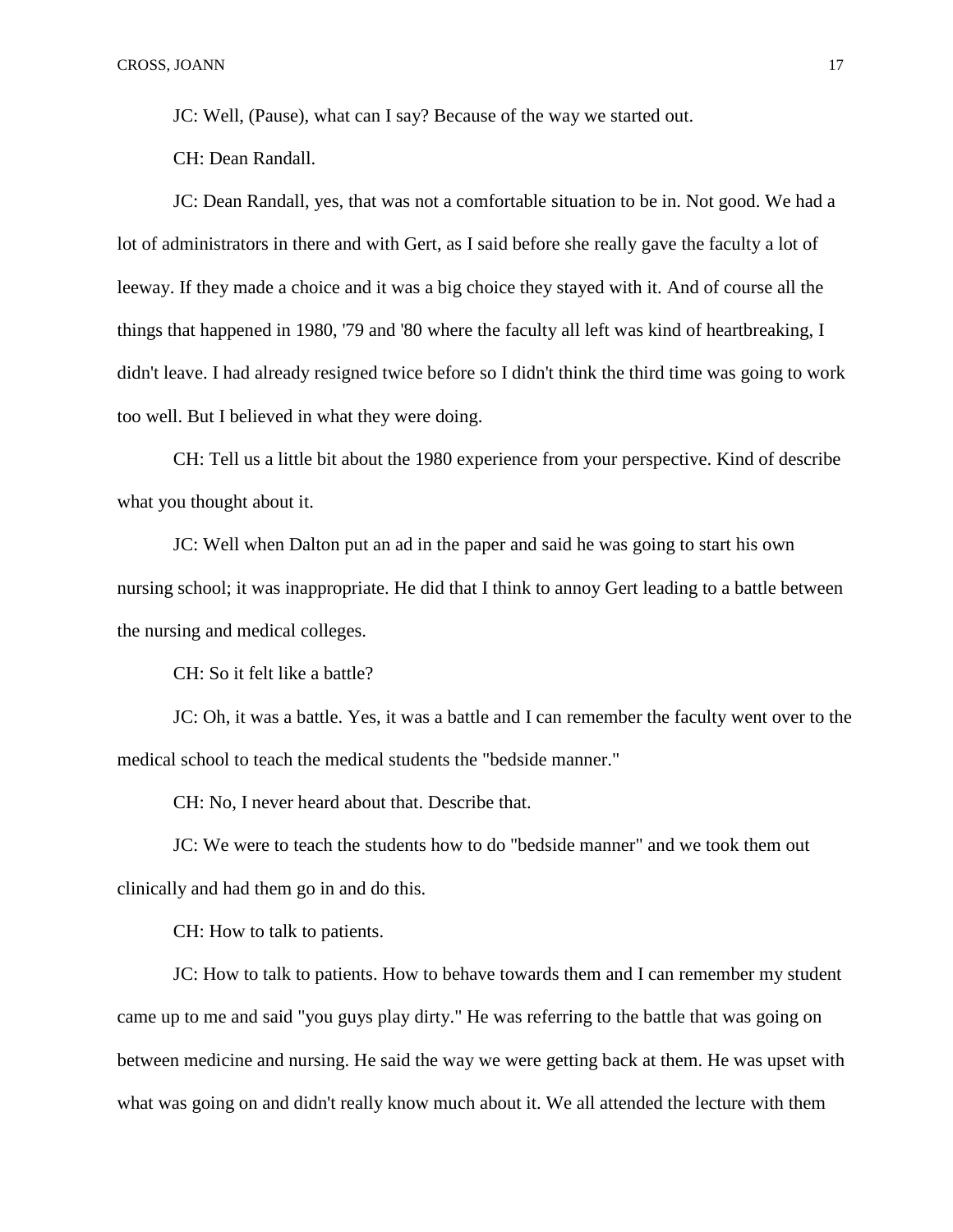JC: Well, (Pause), what can I say? Because of the way we started out.

CH: Dean Randall.

JC: Dean Randall, yes, that was not a comfortable situation to be in. Not good. We had a lot of administrators in there and with Gert, as I said before she really gave the faculty a lot of leeway. If they made a choice and it was a big choice they stayed with it. And of course all the things that happened in 1980, '79 and '80 where the faculty all left was kind of heartbreaking, I didn't leave. I had already resigned twice before so I didn't think the third time was going to work too well. But I believed in what they were doing.

CH: Tell us a little bit about the 1980 experience from your perspective. Kind of describe what you thought about it.

JC: Well when Dalton put an ad in the paper and said he was going to start his own nursing school; it was inappropriate. He did that I think to annoy Gert leading to a battle between the nursing and medical colleges.

CH: So it felt like a battle?

JC: Oh, it was a battle. Yes, it was a battle and I can remember the faculty went over to the medical school to teach the medical students the "bedside manner."

CH: No, I never heard about that. Describe that.

JC: We were to teach the students how to do "bedside manner" and we took them out clinically and had them go in and do this.

CH: How to talk to patients.

JC: How to talk to patients. How to behave towards them and I can remember my student came up to me and said "you guys play dirty." He was referring to the battle that was going on between medicine and nursing. He said the way we were getting back at them. He was upset with what was going on and didn't really know much about it. We all attended the lecture with them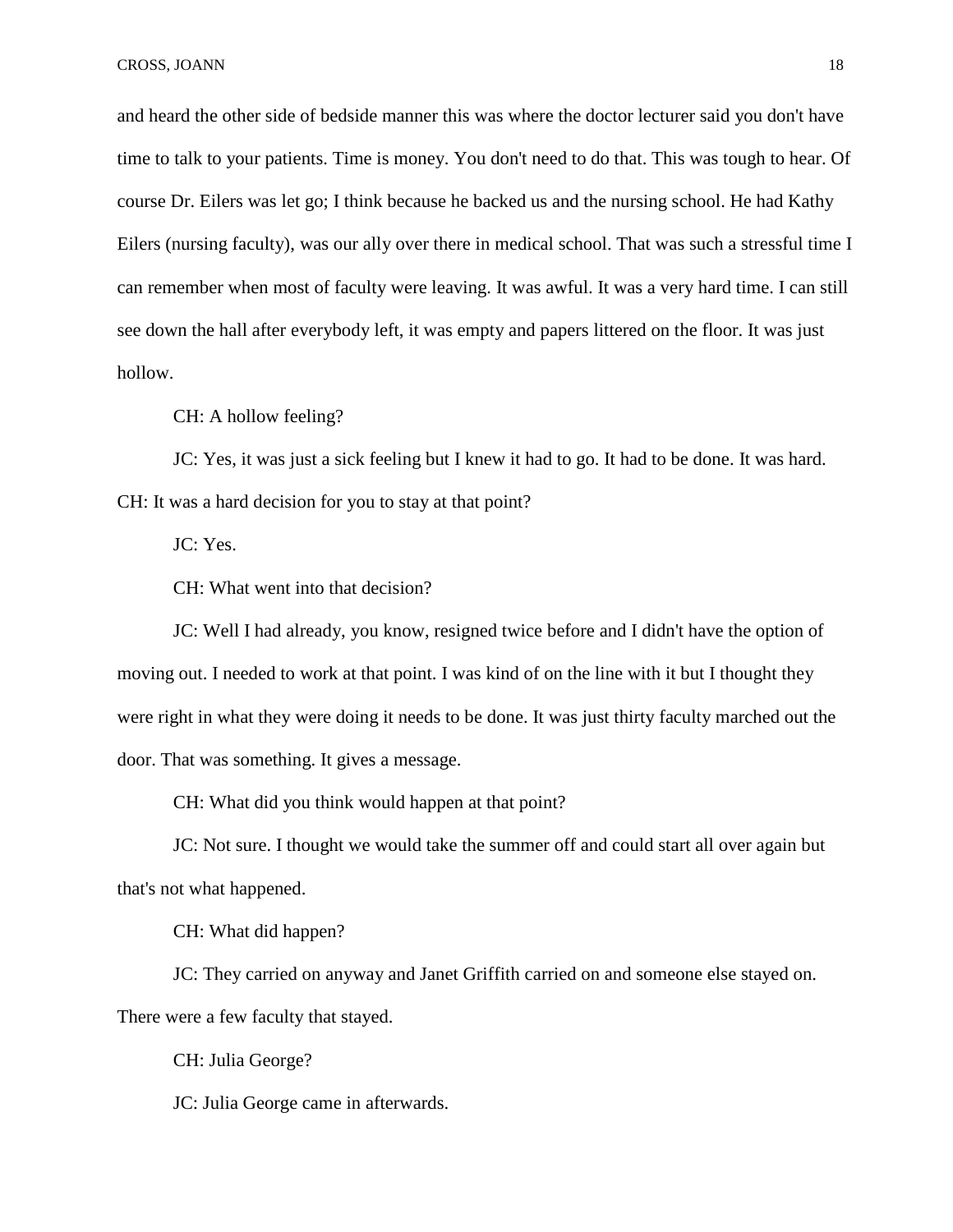and heard the other side of bedside manner this was where the doctor lecturer said you don't have time to talk to your patients. Time is money. You don't need to do that. This was tough to hear. Of course Dr. Eilers was let go; I think because he backed us and the nursing school. He had Kathy Eilers (nursing faculty), was our ally over there in medical school. That was such a stressful time I can remember when most of faculty were leaving. It was awful. It was a very hard time. I can still see down the hall after everybody left, it was empty and papers littered on the floor. It was just hollow.

CH: A hollow feeling?

JC: Yes, it was just a sick feeling but I knew it had to go. It had to be done. It was hard.

CH: It was a hard decision for you to stay at that point?

JC: Yes.

CH: What went into that decision?

JC: Well I had already, you know, resigned twice before and I didn't have the option of moving out. I needed to work at that point. I was kind of on the line with it but I thought they were right in what they were doing it needs to be done. It was just thirty faculty marched out the door. That was something. It gives a message.

CH: What did you think would happen at that point?

JC: Not sure. I thought we would take the summer off and could start all over again but that's not what happened.

CH: What did happen?

JC: They carried on anyway and Janet Griffith carried on and someone else stayed on. There were a few faculty that stayed.

CH: Julia George?

JC: Julia George came in afterwards.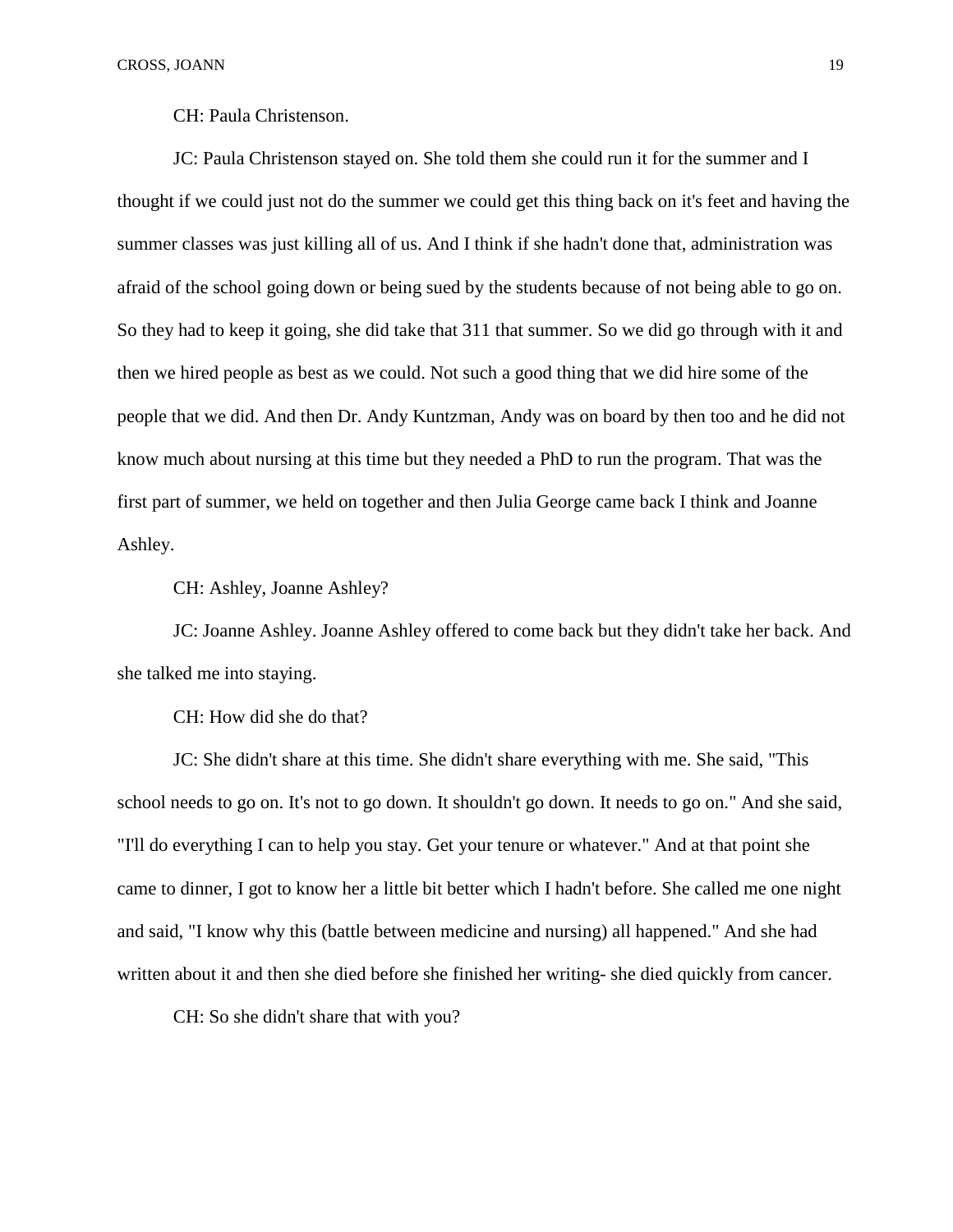CH: Paula Christenson.

JC: Paula Christenson stayed on. She told them she could run it for the summer and I thought if we could just not do the summer we could get this thing back on it's feet and having the summer classes was just killing all of us. And I think if she hadn't done that, administration was afraid of the school going down or being sued by the students because of not being able to go on. So they had to keep it going, she did take that 311 that summer. So we did go through with it and then we hired people as best as we could. Not such a good thing that we did hire some of the people that we did. And then Dr. Andy Kuntzman, Andy was on board by then too and he did not know much about nursing at this time but they needed a PhD to run the program. That was the first part of summer, we held on together and then Julia George came back I think and Joanne Ashley.

CH: Ashley, Joanne Ashley?

JC: Joanne Ashley. Joanne Ashley offered to come back but they didn't take her back. And she talked me into staying.

CH: How did she do that?

JC: She didn't share at this time. She didn't share everything with me. She said, "This school needs to go on. It's not to go down. It shouldn't go down. It needs to go on." And she said, "I'll do everything I can to help you stay. Get your tenure or whatever." And at that point she came to dinner, I got to know her a little bit better which I hadn't before. She called me one night and said, "I know why this (battle between medicine and nursing) all happened." And she had written about it and then she died before she finished her writing- she died quickly from cancer.

CH: So she didn't share that with you?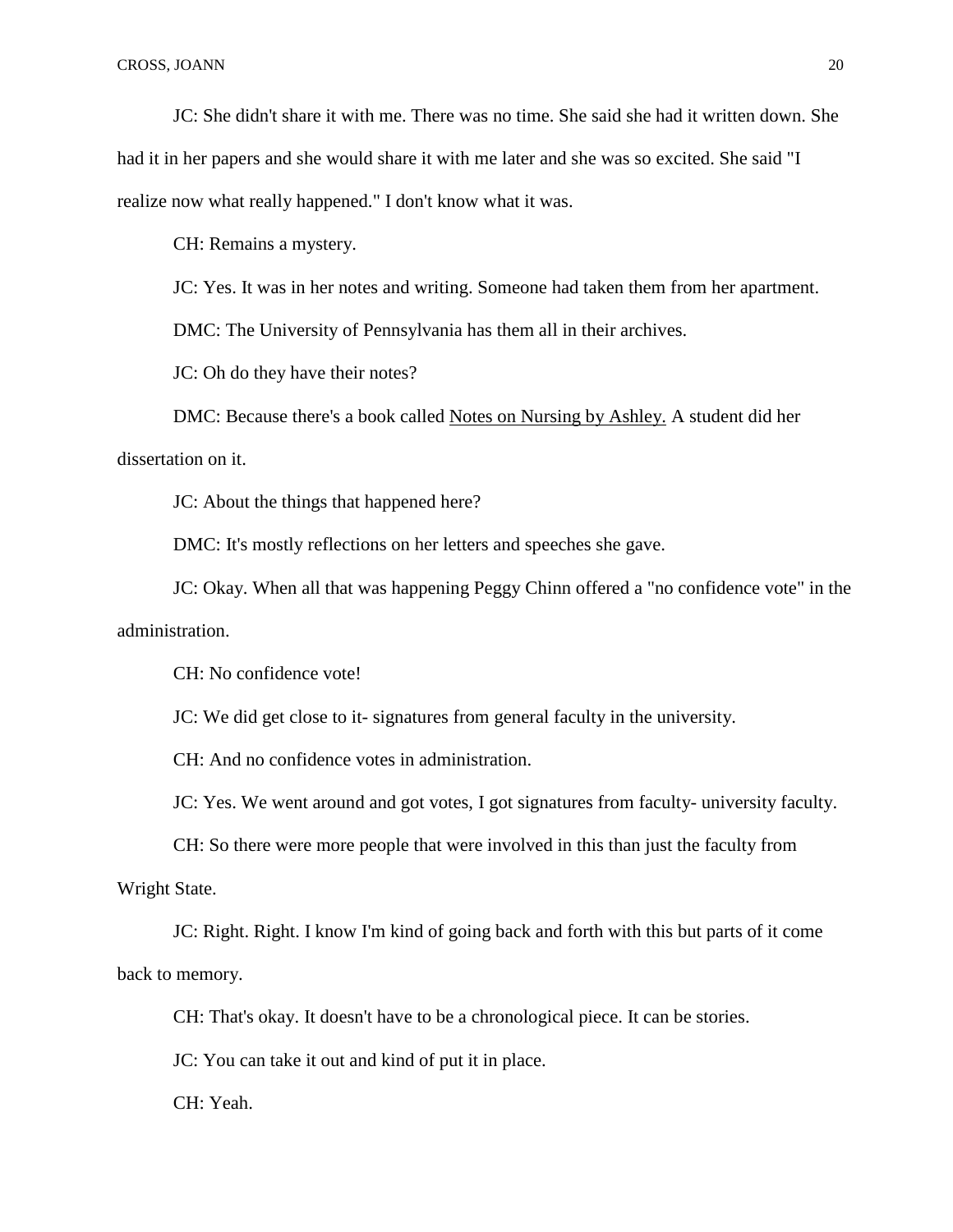JC: She didn't share it with me. There was no time. She said she had it written down. She had it in her papers and she would share it with me later and she was so excited. She said "I realize now what really happened." I don't know what it was.

CH: Remains a mystery.

JC: Yes. It was in her notes and writing. Someone had taken them from her apartment.

DMC: The University of Pennsylvania has them all in their archives.

JC: Oh do they have their notes?

DMC: Because there's a book called Notes on Nursing by Ashley. A student did her dissertation on it.

JC: About the things that happened here?

DMC: It's mostly reflections on her letters and speeches she gave.

JC: Okay. When all that was happening Peggy Chinn offered a "no confidence vote" in the administration.

CH: No confidence vote!

JC: We did get close to it- signatures from general faculty in the university.

CH: And no confidence votes in administration.

JC: Yes. We went around and got votes, I got signatures from faculty- university faculty.

CH: So there were more people that were involved in this than just the faculty from

Wright State.

JC: Right. Right. I know I'm kind of going back and forth with this but parts of it come back to memory.

CH: That's okay. It doesn't have to be a chronological piece. It can be stories.

JC: You can take it out and kind of put it in place.

CH: Yeah.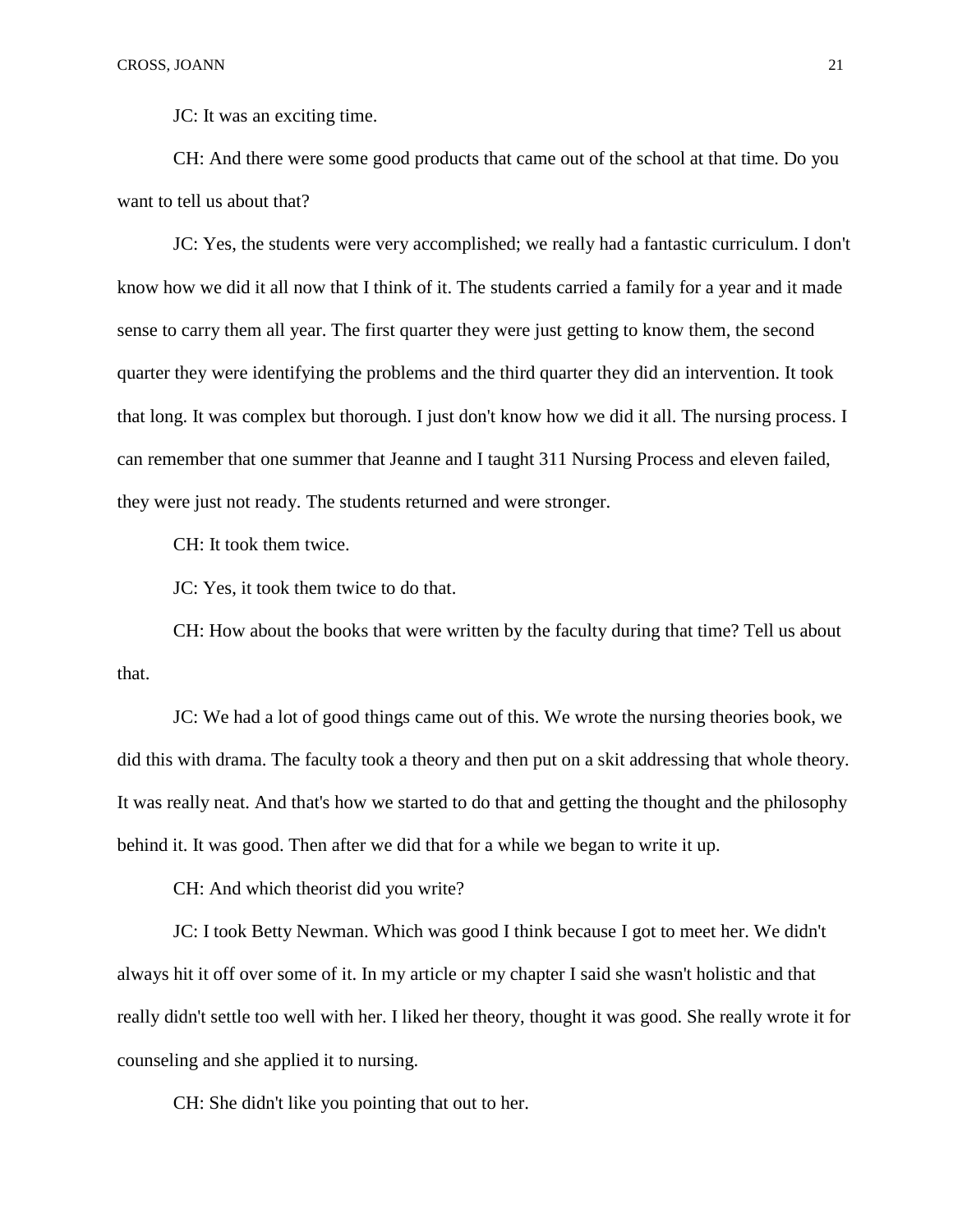JC: It was an exciting time.

CH: And there were some good products that came out of the school at that time. Do you want to tell us about that?

JC: Yes, the students were very accomplished; we really had a fantastic curriculum. I don't know how we did it all now that I think of it. The students carried a family for a year and it made sense to carry them all year. The first quarter they were just getting to know them, the second quarter they were identifying the problems and the third quarter they did an intervention. It took that long. It was complex but thorough. I just don't know how we did it all. The nursing process. I can remember that one summer that Jeanne and I taught 311 Nursing Process and eleven failed, they were just not ready. The students returned and were stronger.

CH: It took them twice.

JC: Yes, it took them twice to do that.

CH: How about the books that were written by the faculty during that time? Tell us about that.

JC: We had a lot of good things came out of this. We wrote the nursing theories book, we did this with drama. The faculty took a theory and then put on a skit addressing that whole theory. It was really neat. And that's how we started to do that and getting the thought and the philosophy behind it. It was good. Then after we did that for a while we began to write it up.

CH: And which theorist did you write?

JC: I took Betty Newman. Which was good I think because I got to meet her. We didn't always hit it off over some of it. In my article or my chapter I said she wasn't holistic and that really didn't settle too well with her. I liked her theory, thought it was good. She really wrote it for counseling and she applied it to nursing.

CH: She didn't like you pointing that out to her.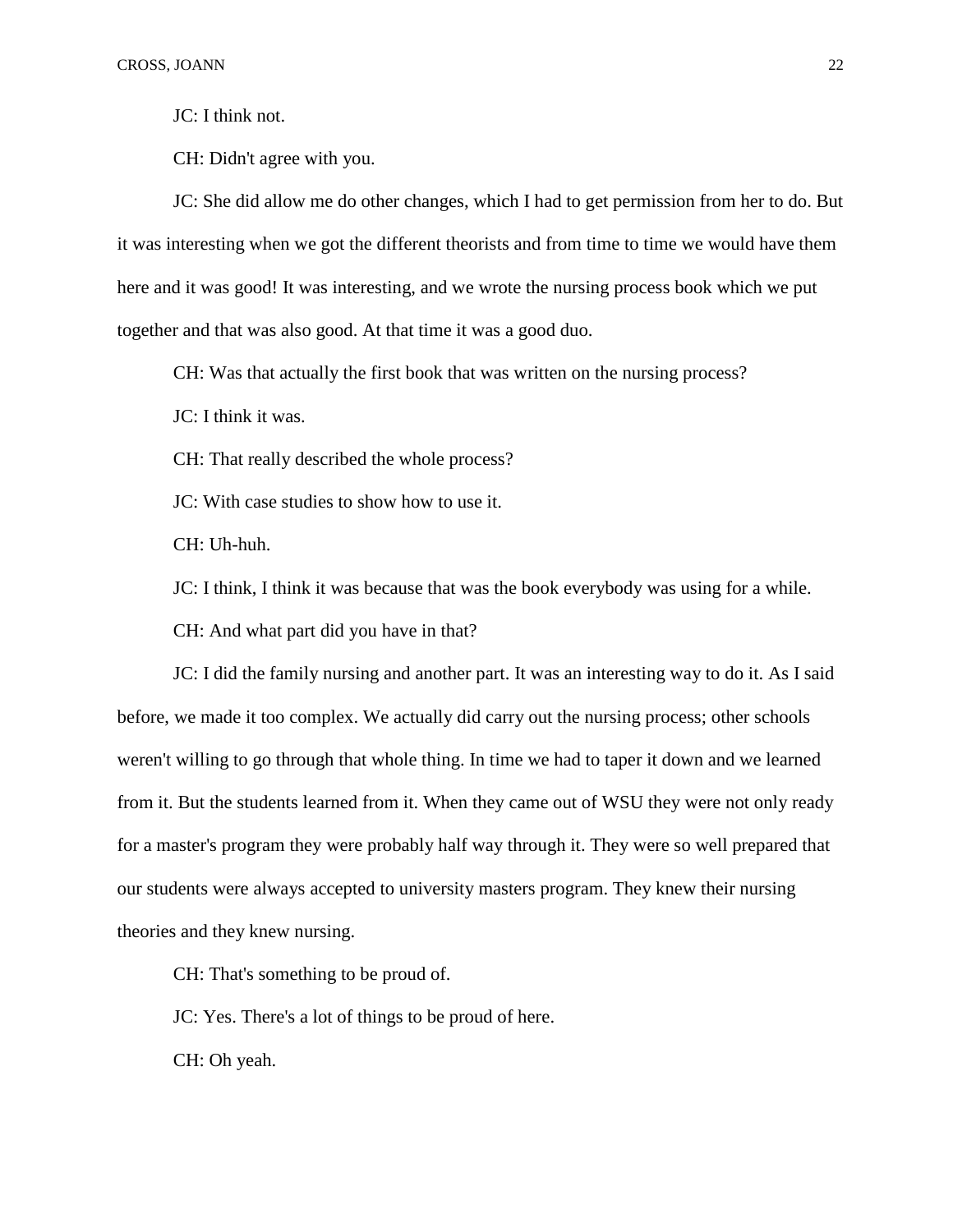JC: I think not.

CH: Didn't agree with you.

JC: She did allow me do other changes, which I had to get permission from her to do. But it was interesting when we got the different theorists and from time to time we would have them here and it was good! It was interesting, and we wrote the nursing process book which we put together and that was also good. At that time it was a good duo.

CH: Was that actually the first book that was written on the nursing process?

JC: I think it was.

CH: That really described the whole process?

JC: With case studies to show how to use it.

CH: Uh-huh.

JC: I think, I think it was because that was the book everybody was using for a while.

CH: And what part did you have in that?

JC: I did the family nursing and another part. It was an interesting way to do it. As I said before, we made it too complex. We actually did carry out the nursing process; other schools weren't willing to go through that whole thing. In time we had to taper it down and we learned from it. But the students learned from it. When they came out of WSU they were not only ready for a master's program they were probably half way through it. They were so well prepared that our students were always accepted to university masters program. They knew their nursing theories and they knew nursing.

CH: That's something to be proud of.

JC: Yes. There's a lot of things to be proud of here.

CH: Oh yeah.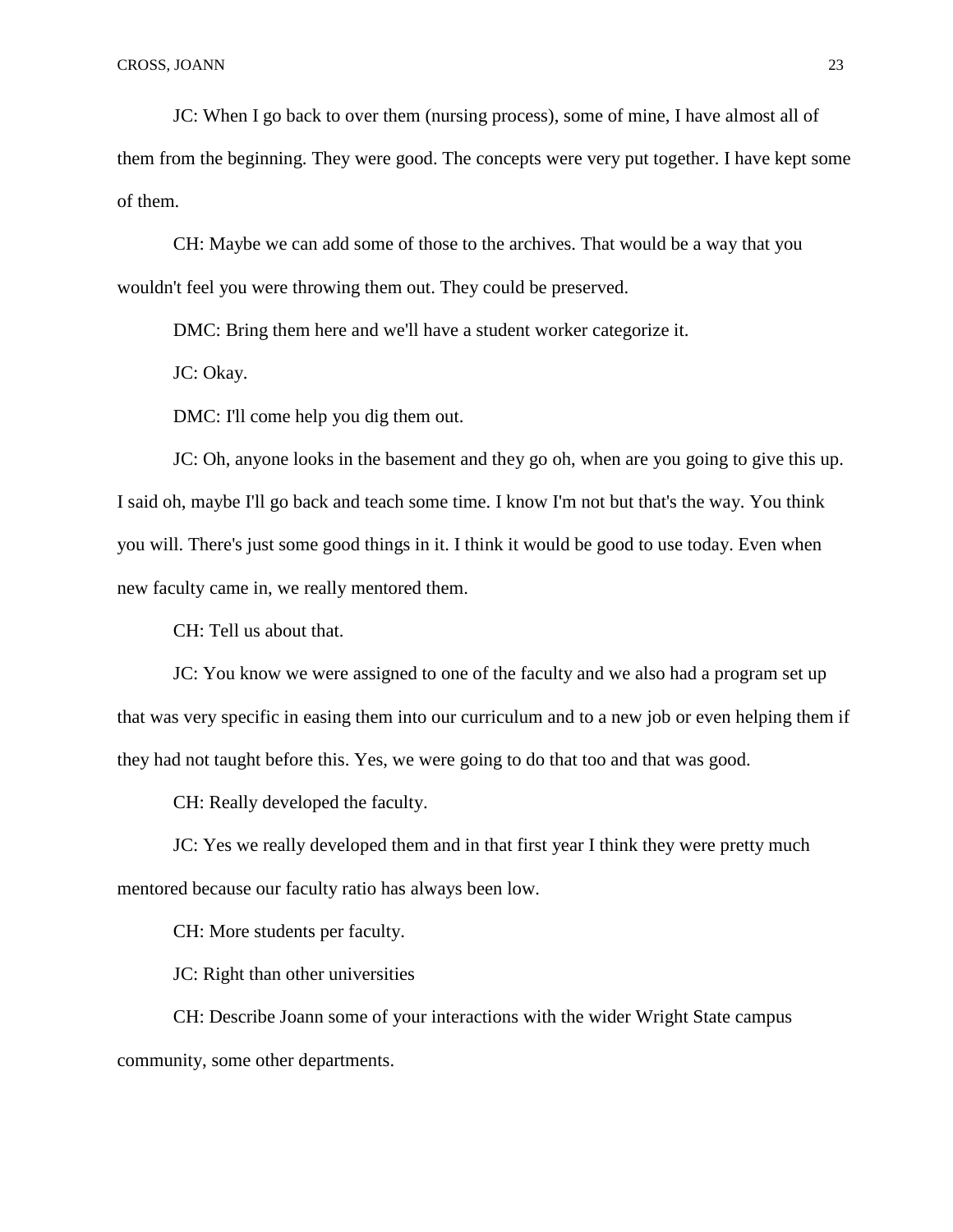JC: When I go back to over them (nursing process), some of mine, I have almost all of them from the beginning. They were good. The concepts were very put together. I have kept some of them.

CH: Maybe we can add some of those to the archives. That would be a way that you wouldn't feel you were throwing them out. They could be preserved.

DMC: Bring them here and we'll have a student worker categorize it.

JC: Okay.

DMC: I'll come help you dig them out.

JC: Oh, anyone looks in the basement and they go oh, when are you going to give this up. I said oh, maybe I'll go back and teach some time. I know I'm not but that's the way. You think you will. There's just some good things in it. I think it would be good to use today. Even when new faculty came in, we really mentored them.

CH: Tell us about that.

JC: You know we were assigned to one of the faculty and we also had a program set up that was very specific in easing them into our curriculum and to a new job or even helping them if they had not taught before this. Yes, we were going to do that too and that was good.

CH: Really developed the faculty.

JC: Yes we really developed them and in that first year I think they were pretty much mentored because our faculty ratio has always been low.

CH: More students per faculty.

JC: Right than other universities

CH: Describe Joann some of your interactions with the wider Wright State campus community, some other departments.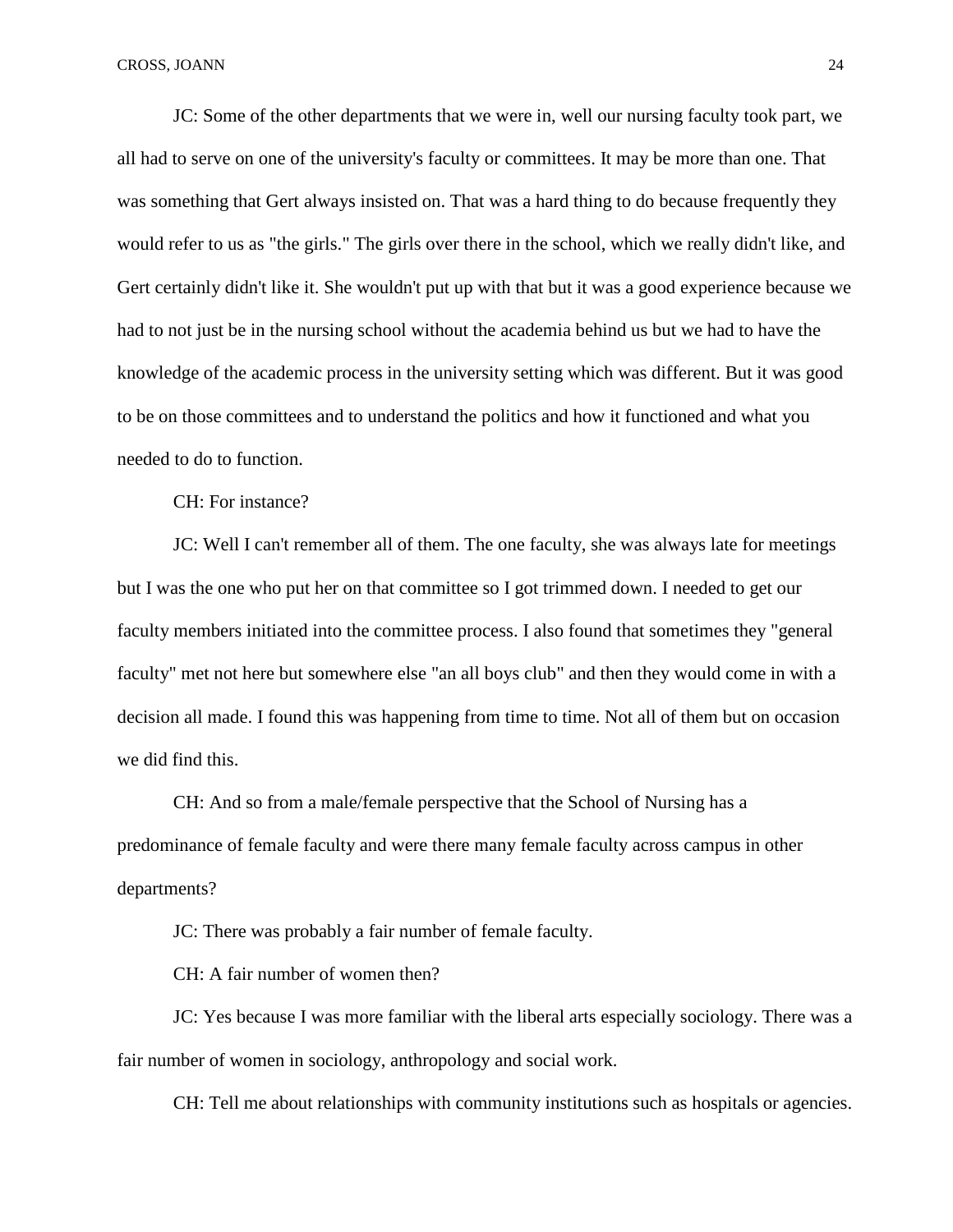JC: Some of the other departments that we were in, well our nursing faculty took part, we all had to serve on one of the university's faculty or committees. It may be more than one. That was something that Gert always insisted on. That was a hard thing to do because frequently they would refer to us as "the girls." The girls over there in the school, which we really didn't like, and Gert certainly didn't like it. She wouldn't put up with that but it was a good experience because we had to not just be in the nursing school without the academia behind us but we had to have the knowledge of the academic process in the university setting which was different. But it was good to be on those committees and to understand the politics and how it functioned and what you needed to do to function.

CH: For instance?

JC: Well I can't remember all of them. The one faculty, she was always late for meetings but I was the one who put her on that committee so I got trimmed down. I needed to get our faculty members initiated into the committee process. I also found that sometimes they "general faculty" met not here but somewhere else "an all boys club" and then they would come in with a decision all made. I found this was happening from time to time. Not all of them but on occasion we did find this.

CH: And so from a male/female perspective that the School of Nursing has a predominance of female faculty and were there many female faculty across campus in other departments?

JC: There was probably a fair number of female faculty.

CH: A fair number of women then?

JC: Yes because I was more familiar with the liberal arts especially sociology. There was a fair number of women in sociology, anthropology and social work.

CH: Tell me about relationships with community institutions such as hospitals or agencies.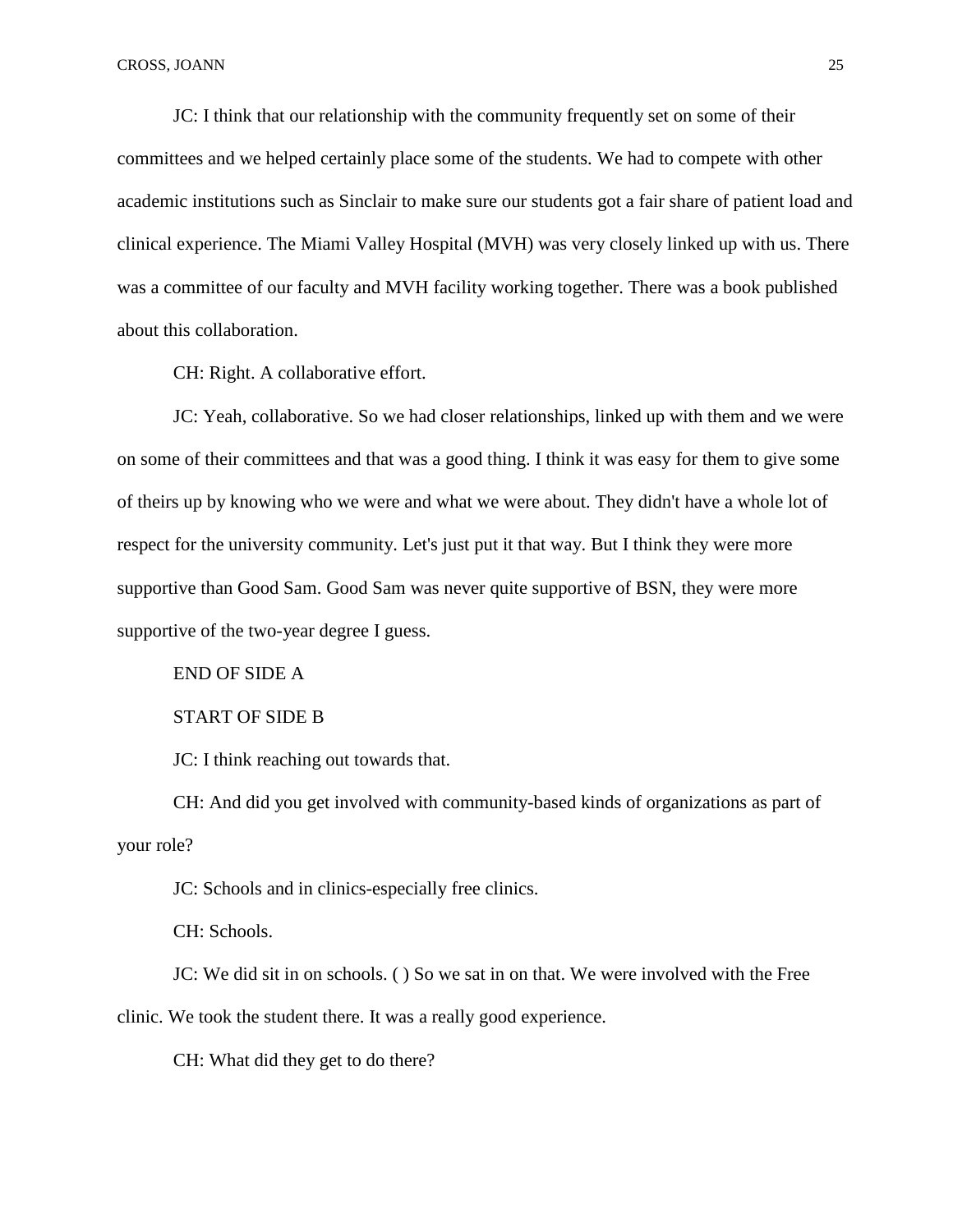JC: I think that our relationship with the community frequently set on some of their committees and we helped certainly place some of the students. We had to compete with other academic institutions such as Sinclair to make sure our students got a fair share of patient load and clinical experience. The Miami Valley Hospital (MVH) was very closely linked up with us. There was a committee of our faculty and MVH facility working together. There was a book published about this collaboration.

CH: Right. A collaborative effort.

JC: Yeah, collaborative. So we had closer relationships, linked up with them and we were on some of their committees and that was a good thing. I think it was easy for them to give some of theirs up by knowing who we were and what we were about. They didn't have a whole lot of respect for the university community. Let's just put it that way. But I think they were more supportive than Good Sam. Good Sam was never quite supportive of BSN, they were more supportive of the two-year degree I guess.

END OF SIDE A

## START OF SIDE B

JC: I think reaching out towards that.

CH: And did you get involved with community-based kinds of organizations as part of your role?

JC: Schools and in clinics-especially free clinics.

CH: Schools.

JC: We did sit in on schools. ( ) So we sat in on that. We were involved with the Free clinic. We took the student there. It was a really good experience.

CH: What did they get to do there?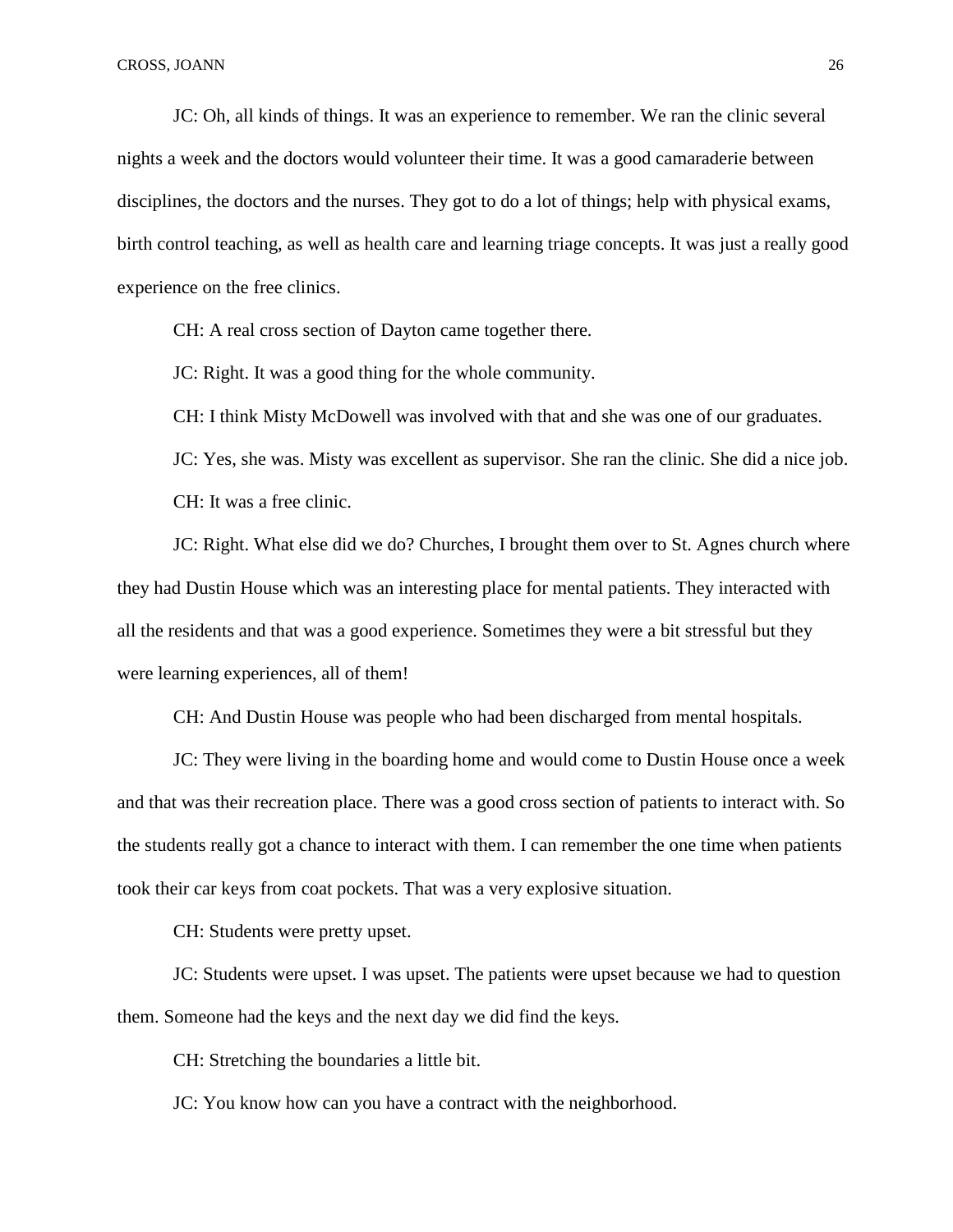JC: Oh, all kinds of things. It was an experience to remember. We ran the clinic several nights a week and the doctors would volunteer their time. It was a good camaraderie between disciplines, the doctors and the nurses. They got to do a lot of things; help with physical exams, birth control teaching, as well as health care and learning triage concepts. It was just a really good experience on the free clinics.

CH: A real cross section of Dayton came together there.

JC: Right. It was a good thing for the whole community.

CH: I think Misty McDowell was involved with that and she was one of our graduates.

JC: Yes, she was. Misty was excellent as supervisor. She ran the clinic. She did a nice job. CH: It was a free clinic.

JC: Right. What else did we do? Churches, I brought them over to St. Agnes church where they had Dustin House which was an interesting place for mental patients. They interacted with all the residents and that was a good experience. Sometimes they were a bit stressful but they were learning experiences, all of them!

CH: And Dustin House was people who had been discharged from mental hospitals.

JC: They were living in the boarding home and would come to Dustin House once a week and that was their recreation place. There was a good cross section of patients to interact with. So the students really got a chance to interact with them. I can remember the one time when patients took their car keys from coat pockets. That was a very explosive situation.

CH: Students were pretty upset.

JC: Students were upset. I was upset. The patients were upset because we had to question them. Someone had the keys and the next day we did find the keys.

CH: Stretching the boundaries a little bit.

JC: You know how can you have a contract with the neighborhood.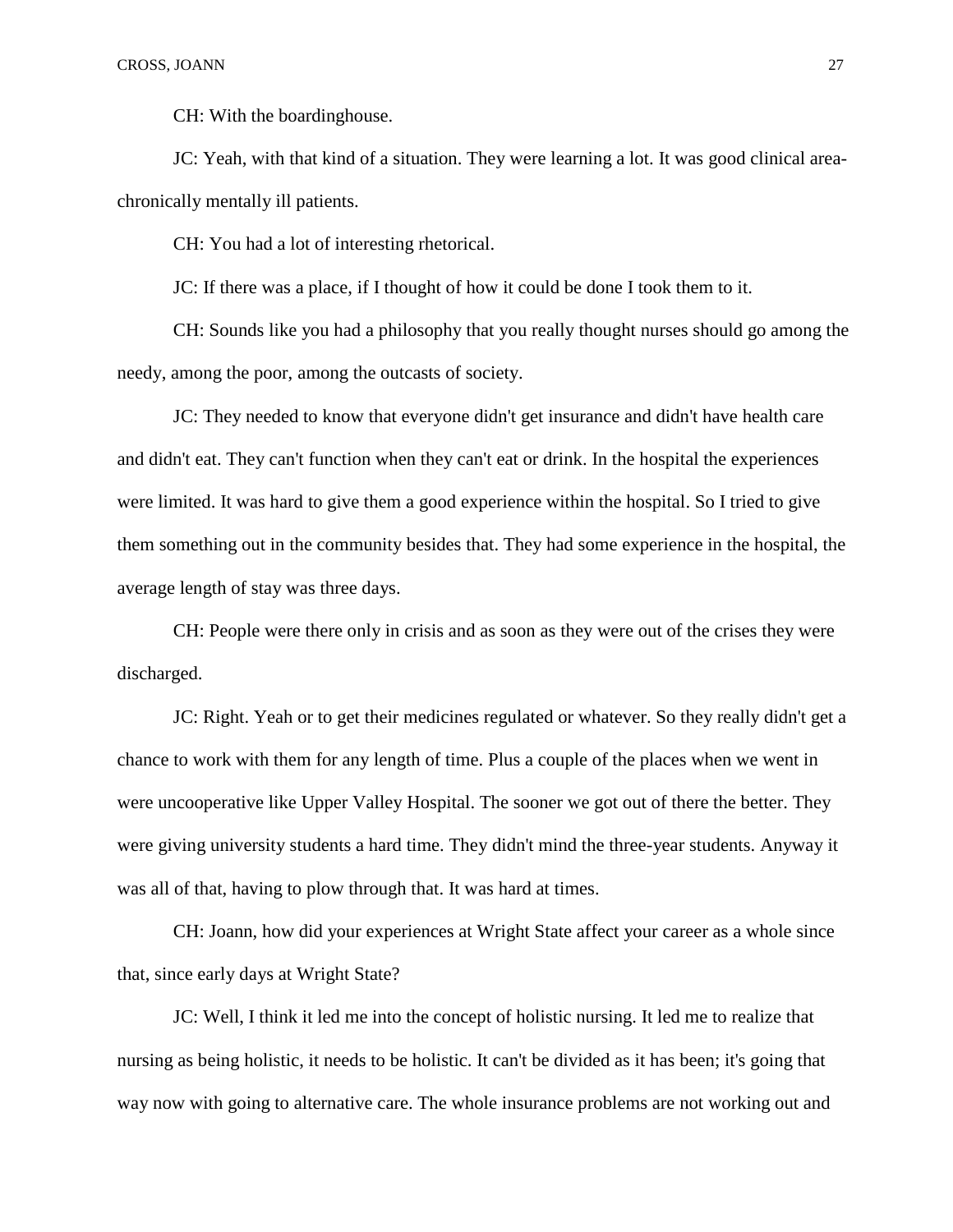CH: With the boardinghouse.

JC: Yeah, with that kind of a situation. They were learning a lot. It was good clinical areachronically mentally ill patients.

CH: You had a lot of interesting rhetorical.

JC: If there was a place, if I thought of how it could be done I took them to it.

CH: Sounds like you had a philosophy that you really thought nurses should go among the needy, among the poor, among the outcasts of society.

JC: They needed to know that everyone didn't get insurance and didn't have health care and didn't eat. They can't function when they can't eat or drink. In the hospital the experiences were limited. It was hard to give them a good experience within the hospital. So I tried to give them something out in the community besides that. They had some experience in the hospital, the average length of stay was three days.

CH: People were there only in crisis and as soon as they were out of the crises they were discharged.

JC: Right. Yeah or to get their medicines regulated or whatever. So they really didn't get a chance to work with them for any length of time. Plus a couple of the places when we went in were uncooperative like Upper Valley Hospital. The sooner we got out of there the better. They were giving university students a hard time. They didn't mind the three-year students. Anyway it was all of that, having to plow through that. It was hard at times.

CH: Joann, how did your experiences at Wright State affect your career as a whole since that, since early days at Wright State?

JC: Well, I think it led me into the concept of holistic nursing. It led me to realize that nursing as being holistic, it needs to be holistic. It can't be divided as it has been; it's going that way now with going to alternative care. The whole insurance problems are not working out and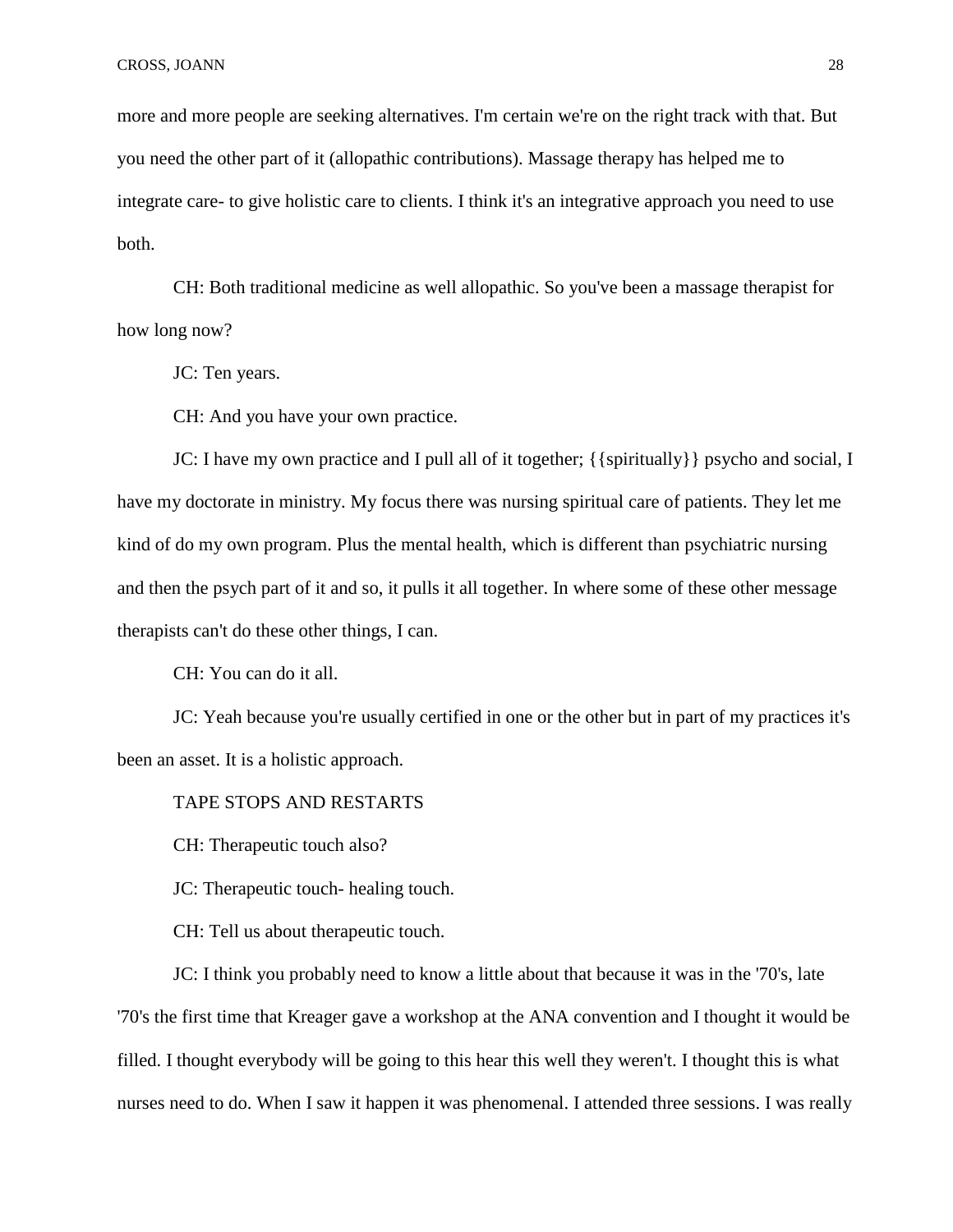more and more people are seeking alternatives. I'm certain we're on the right track with that. But you need the other part of it (allopathic contributions). Massage therapy has helped me to integrate care- to give holistic care to clients. I think it's an integrative approach you need to use both.

CH: Both traditional medicine as well allopathic. So you've been a massage therapist for how long now?

JC: Ten years.

CH: And you have your own practice.

JC: I have my own practice and I pull all of it together;  $\{\{\text{spirtually}\}\}$  psycho and social, I have my doctorate in ministry. My focus there was nursing spiritual care of patients. They let me kind of do my own program. Plus the mental health, which is different than psychiatric nursing and then the psych part of it and so, it pulls it all together. In where some of these other message therapists can't do these other things, I can.

CH: You can do it all.

JC: Yeah because you're usually certified in one or the other but in part of my practices it's been an asset. It is a holistic approach.

TAPE STOPS AND RESTARTS

CH: Therapeutic touch also?

JC: Therapeutic touch- healing touch.

CH: Tell us about therapeutic touch.

JC: I think you probably need to know a little about that because it was in the '70's, late '70's the first time that Kreager gave a workshop at the ANA convention and I thought it would be filled. I thought everybody will be going to this hear this well they weren't. I thought this is what nurses need to do. When I saw it happen it was phenomenal. I attended three sessions. I was really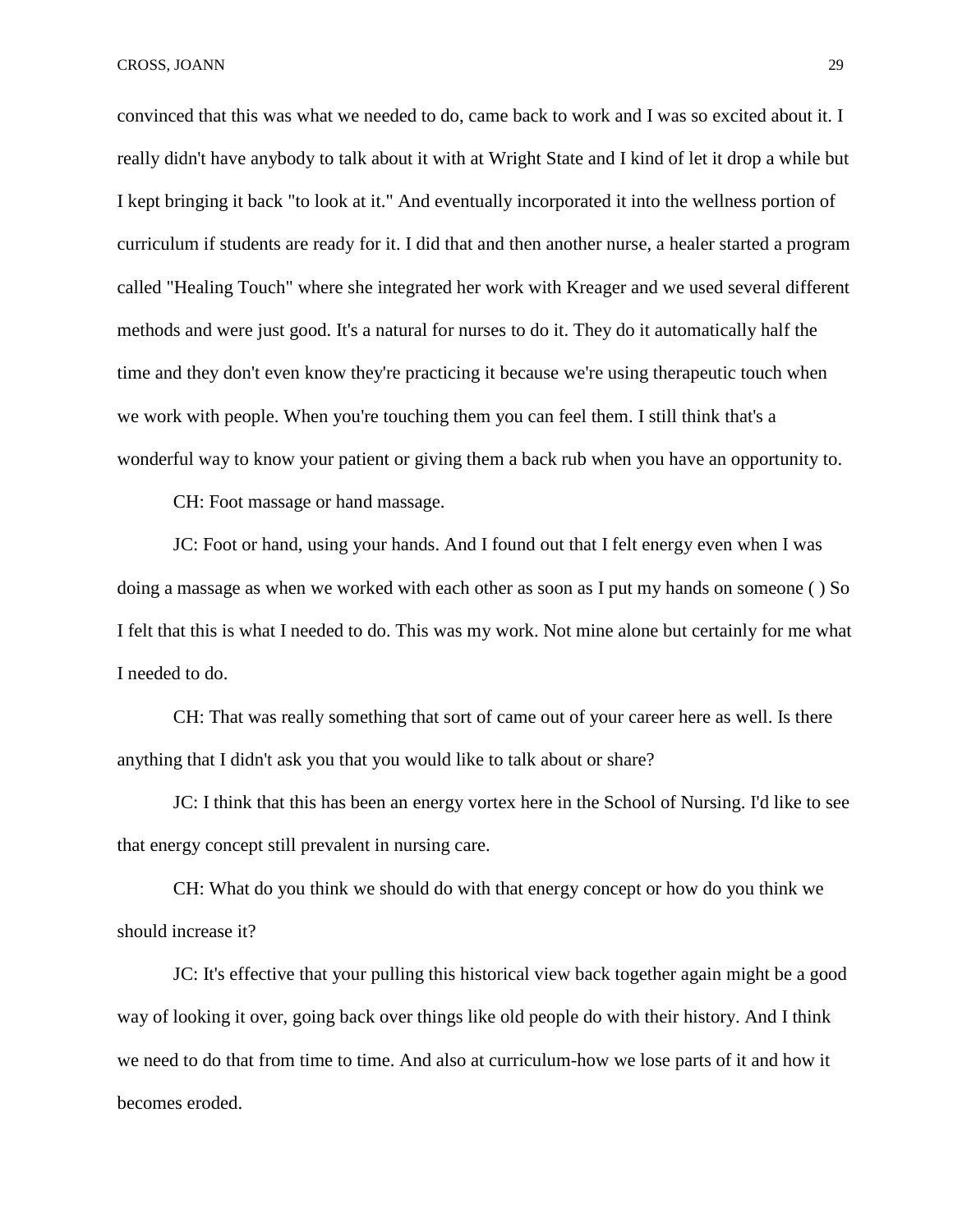CROSS, JOANN 29

convinced that this was what we needed to do, came back to work and I was so excited about it. I really didn't have anybody to talk about it with at Wright State and I kind of let it drop a while but I kept bringing it back "to look at it." And eventually incorporated it into the wellness portion of curriculum if students are ready for it. I did that and then another nurse, a healer started a program called "Healing Touch" where she integrated her work with Kreager and we used several different methods and were just good. It's a natural for nurses to do it. They do it automatically half the time and they don't even know they're practicing it because we're using therapeutic touch when we work with people. When you're touching them you can feel them. I still think that's a wonderful way to know your patient or giving them a back rub when you have an opportunity to.

CH: Foot massage or hand massage.

JC: Foot or hand, using your hands. And I found out that I felt energy even when I was doing a massage as when we worked with each other as soon as I put my hands on someone ( ) So I felt that this is what I needed to do. This was my work. Not mine alone but certainly for me what I needed to do.

CH: That was really something that sort of came out of your career here as well. Is there anything that I didn't ask you that you would like to talk about or share?

JC: I think that this has been an energy vortex here in the School of Nursing. I'd like to see that energy concept still prevalent in nursing care.

CH: What do you think we should do with that energy concept or how do you think we should increase it?

JC: It's effective that your pulling this historical view back together again might be a good way of looking it over, going back over things like old people do with their history. And I think we need to do that from time to time. And also at curriculum-how we lose parts of it and how it becomes eroded.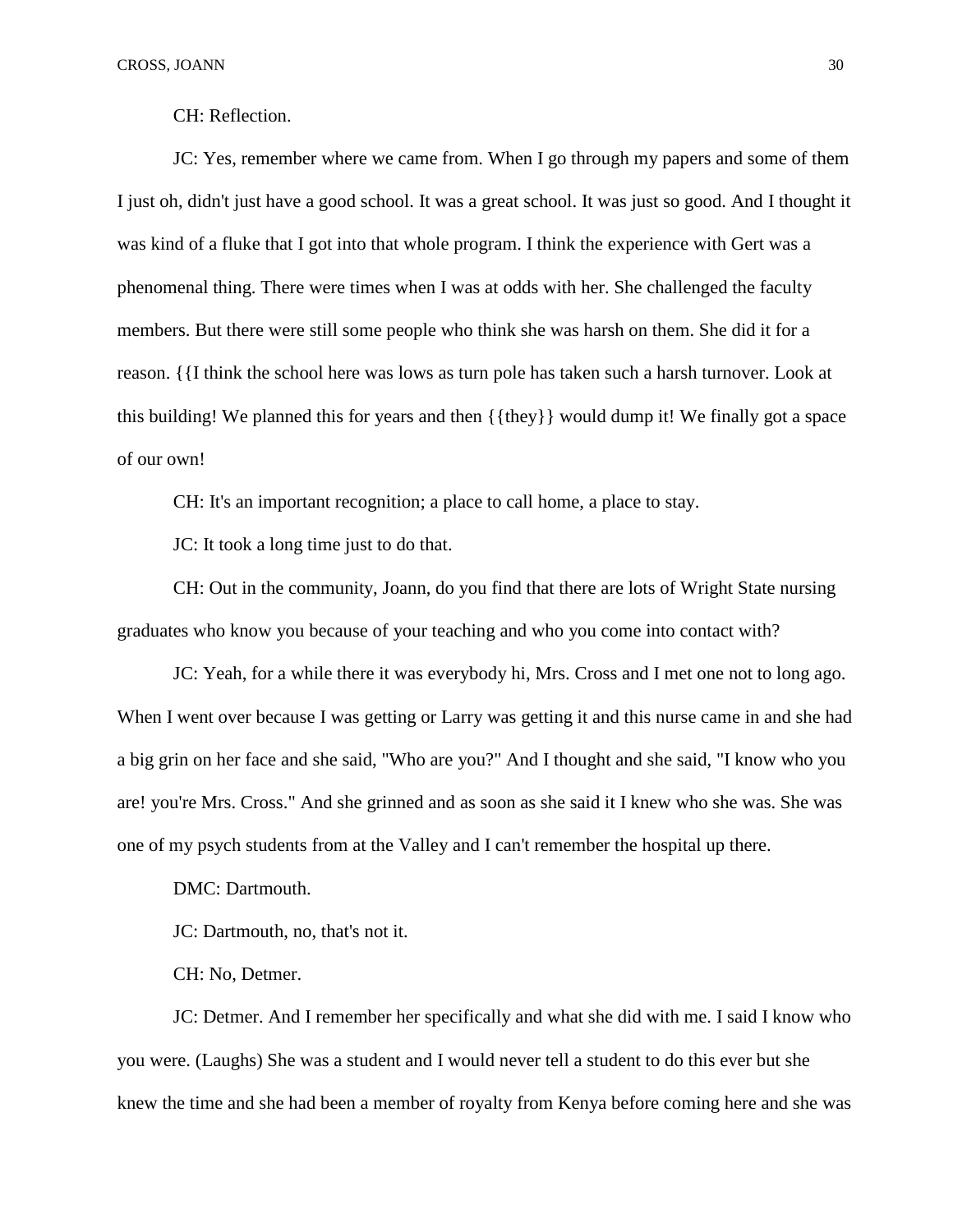CH: Reflection.

JC: Yes, remember where we came from. When I go through my papers and some of them I just oh, didn't just have a good school. It was a great school. It was just so good. And I thought it was kind of a fluke that I got into that whole program. I think the experience with Gert was a phenomenal thing. There were times when I was at odds with her. She challenged the faculty members. But there were still some people who think she was harsh on them. She did it for a reason. {{I think the school here was lows as turn pole has taken such a harsh turnover. Look at this building! We planned this for years and then {{they}} would dump it! We finally got a space of our own!

CH: It's an important recognition; a place to call home, a place to stay.

JC: It took a long time just to do that.

CH: Out in the community, Joann, do you find that there are lots of Wright State nursing graduates who know you because of your teaching and who you come into contact with?

JC: Yeah, for a while there it was everybody hi, Mrs. Cross and I met one not to long ago. When I went over because I was getting or Larry was getting it and this nurse came in and she had a big grin on her face and she said, "Who are you?" And I thought and she said, "I know who you are! you're Mrs. Cross." And she grinned and as soon as she said it I knew who she was. She was one of my psych students from at the Valley and I can't remember the hospital up there.

DMC: Dartmouth.

JC: Dartmouth, no, that's not it.

CH: No, Detmer.

JC: Detmer. And I remember her specifically and what she did with me. I said I know who you were. (Laughs) She was a student and I would never tell a student to do this ever but she knew the time and she had been a member of royalty from Kenya before coming here and she was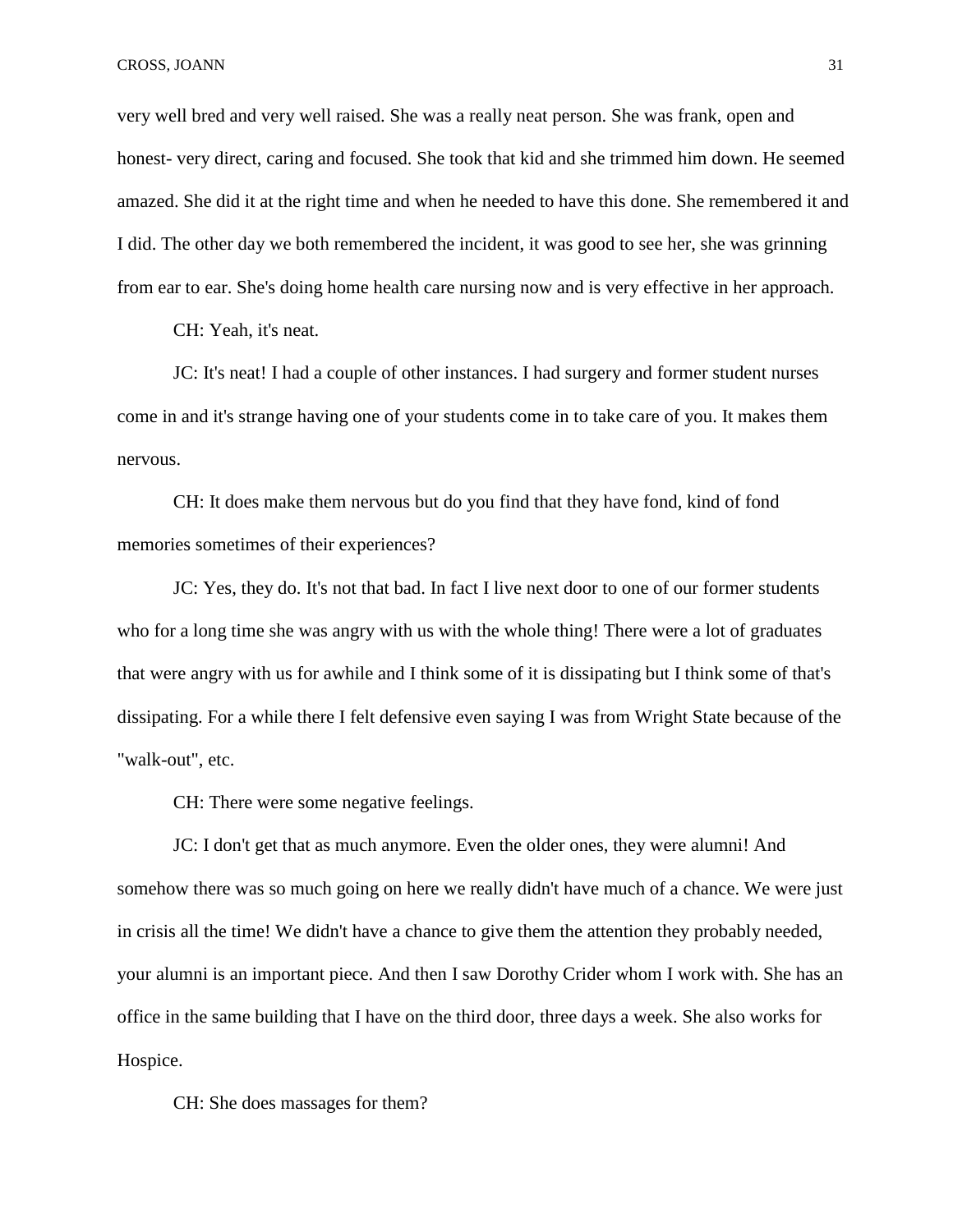very well bred and very well raised. She was a really neat person. She was frank, open and honest- very direct, caring and focused. She took that kid and she trimmed him down. He seemed amazed. She did it at the right time and when he needed to have this done. She remembered it and I did. The other day we both remembered the incident, it was good to see her, she was grinning from ear to ear. She's doing home health care nursing now and is very effective in her approach.

CH: Yeah, it's neat.

JC: It's neat! I had a couple of other instances. I had surgery and former student nurses come in and it's strange having one of your students come in to take care of you. It makes them nervous.

CH: It does make them nervous but do you find that they have fond, kind of fond memories sometimes of their experiences?

JC: Yes, they do. It's not that bad. In fact I live next door to one of our former students who for a long time she was angry with us with the whole thing! There were a lot of graduates that were angry with us for awhile and I think some of it is dissipating but I think some of that's dissipating. For a while there I felt defensive even saying I was from Wright State because of the "walk-out", etc.

CH: There were some negative feelings.

JC: I don't get that as much anymore. Even the older ones, they were alumni! And somehow there was so much going on here we really didn't have much of a chance. We were just in crisis all the time! We didn't have a chance to give them the attention they probably needed, your alumni is an important piece. And then I saw Dorothy Crider whom I work with. She has an office in the same building that I have on the third door, three days a week. She also works for Hospice.

CH: She does massages for them?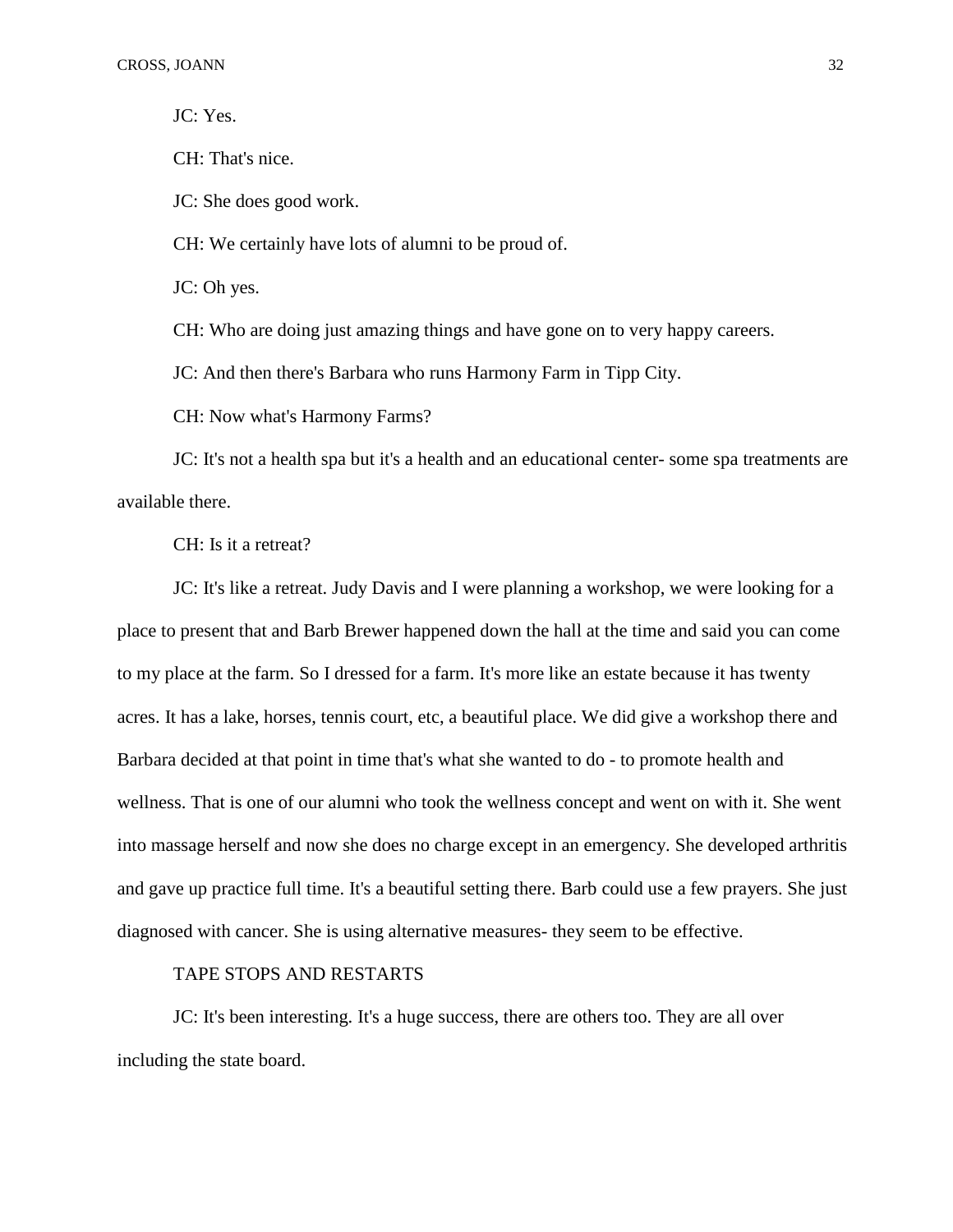JC: Yes.

CH: That's nice.

JC: She does good work.

CH: We certainly have lots of alumni to be proud of.

JC: Oh yes.

CH: Who are doing just amazing things and have gone on to very happy careers.

JC: And then there's Barbara who runs Harmony Farm in Tipp City.

CH: Now what's Harmony Farms?

JC: It's not a health spa but it's a health and an educational center- some spa treatments are available there.

CH: Is it a retreat?

JC: It's like a retreat. Judy Davis and I were planning a workshop, we were looking for a place to present that and Barb Brewer happened down the hall at the time and said you can come to my place at the farm. So I dressed for a farm. It's more like an estate because it has twenty acres. It has a lake, horses, tennis court, etc, a beautiful place. We did give a workshop there and Barbara decided at that point in time that's what she wanted to do - to promote health and wellness. That is one of our alumni who took the wellness concept and went on with it. She went into massage herself and now she does no charge except in an emergency. She developed arthritis and gave up practice full time. It's a beautiful setting there. Barb could use a few prayers. She just diagnosed with cancer. She is using alternative measures- they seem to be effective.

# TAPE STOPS AND RESTARTS

JC: It's been interesting. It's a huge success, there are others too. They are all over including the state board.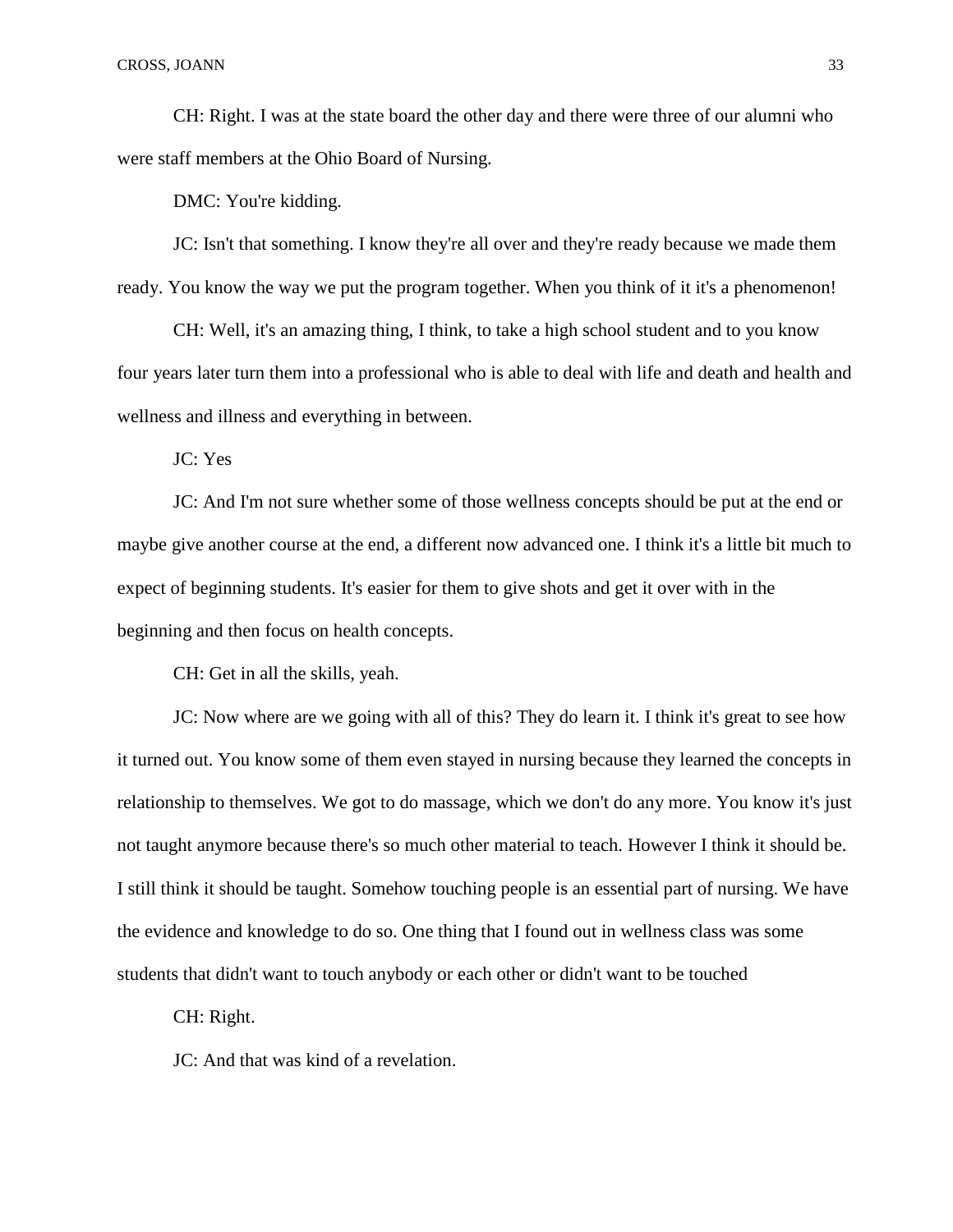CH: Right. I was at the state board the other day and there were three of our alumni who were staff members at the Ohio Board of Nursing.

DMC: You're kidding.

JC: Isn't that something. I know they're all over and they're ready because we made them ready. You know the way we put the program together. When you think of it it's a phenomenon!

CH: Well, it's an amazing thing, I think, to take a high school student and to you know four years later turn them into a professional who is able to deal with life and death and health and wellness and illness and everything in between.

JC: Yes

JC: And I'm not sure whether some of those wellness concepts should be put at the end or maybe give another course at the end, a different now advanced one. I think it's a little bit much to expect of beginning students. It's easier for them to give shots and get it over with in the beginning and then focus on health concepts.

CH: Get in all the skills, yeah.

JC: Now where are we going with all of this? They do learn it. I think it's great to see how it turned out. You know some of them even stayed in nursing because they learned the concepts in relationship to themselves. We got to do massage, which we don't do any more. You know it's just not taught anymore because there's so much other material to teach. However I think it should be. I still think it should be taught. Somehow touching people is an essential part of nursing. We have the evidence and knowledge to do so. One thing that I found out in wellness class was some students that didn't want to touch anybody or each other or didn't want to be touched

CH: Right.

JC: And that was kind of a revelation.